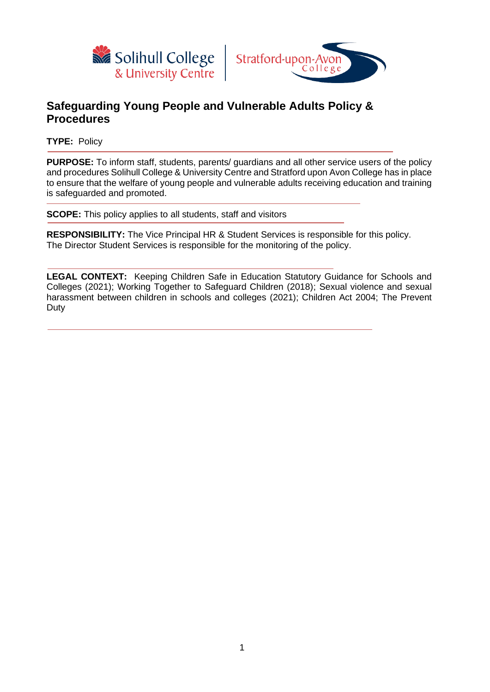



## **Safeguarding Young People and Vulnerable Adults Policy & Procedures**

**TYPE:** Policy

**PURPOSE:** To inform staff, students, parents/ guardians and all other service users of the policy and procedures Solihull College & University Centre and Stratford upon Avon College has in place to ensure that the welfare of young people and vulnerable adults receiving education and training is safeguarded and promoted.

**SCOPE:** This policy applies to all students, staff and visitors

**RESPONSIBILITY:** The Vice Principal HR & Student Services is responsible for this policy. The Director Student Services is responsible for the monitoring of the policy.

LEGAL CONTEXT: Keeping Children Safe in Education Statutory Guidance for Schools and Colleges (2021); Working Together to Safeguard Children (2018); Sexual violence and sexual harassment between children in schools and colleges (2021); Children Act 2004; The Prevent Duty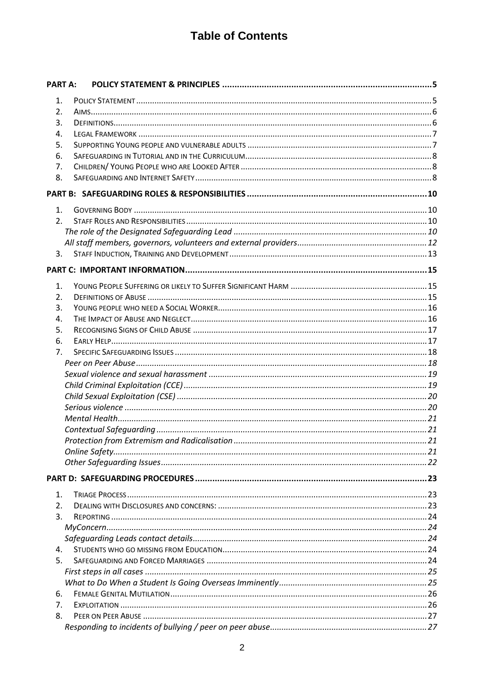# **Table of Contents**

| <b>PART A:</b>   |  |
|------------------|--|
| 1.               |  |
| 2.               |  |
| 3.               |  |
| 4.               |  |
| 5.               |  |
| 6.               |  |
| 7.               |  |
| 8.               |  |
|                  |  |
| 1.               |  |
| 2.               |  |
|                  |  |
|                  |  |
| 3.               |  |
|                  |  |
|                  |  |
| 1.               |  |
| 2.               |  |
| 3.               |  |
| 4.               |  |
| 5.               |  |
| 6.               |  |
| 7.               |  |
|                  |  |
|                  |  |
|                  |  |
|                  |  |
|                  |  |
|                  |  |
|                  |  |
|                  |  |
|                  |  |
|                  |  |
|                  |  |
| 1.               |  |
| $\overline{2}$ . |  |
| 3.               |  |
|                  |  |
|                  |  |
| 4.               |  |
| 5.               |  |
|                  |  |
|                  |  |
| 6.               |  |
| 7.               |  |
| 8.               |  |
|                  |  |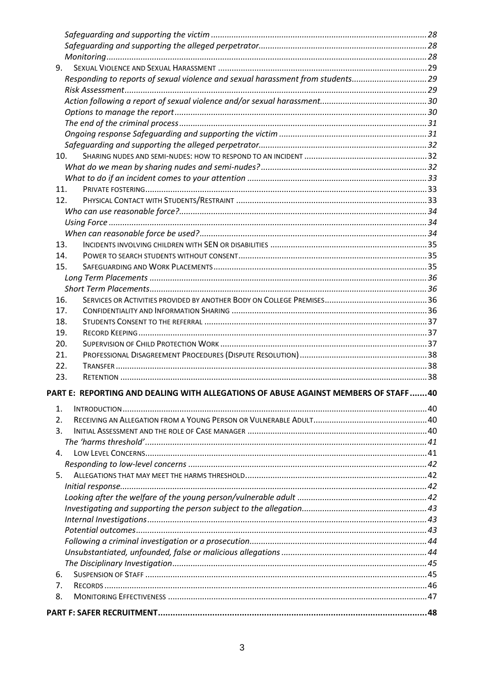| 9.              |                                                                                    |  |
|-----------------|------------------------------------------------------------------------------------|--|
|                 | Responding to reports of sexual violence and sexual harassment from students29     |  |
|                 |                                                                                    |  |
|                 |                                                                                    |  |
|                 |                                                                                    |  |
|                 |                                                                                    |  |
|                 |                                                                                    |  |
|                 |                                                                                    |  |
| 10 <sub>1</sub> |                                                                                    |  |
|                 |                                                                                    |  |
|                 |                                                                                    |  |
| 11.             |                                                                                    |  |
| 12.             |                                                                                    |  |
|                 |                                                                                    |  |
|                 |                                                                                    |  |
|                 |                                                                                    |  |
| 13.             |                                                                                    |  |
| 14.             |                                                                                    |  |
| 15.             |                                                                                    |  |
|                 |                                                                                    |  |
|                 |                                                                                    |  |
| 16.             |                                                                                    |  |
| 17.             |                                                                                    |  |
| 18.             |                                                                                    |  |
| 19.             |                                                                                    |  |
| 20.             |                                                                                    |  |
| 21.             |                                                                                    |  |
| 22.             |                                                                                    |  |
| 23.             |                                                                                    |  |
|                 | PART E: REPORTING AND DEALING WITH ALLEGATIONS OF ABUSE AGAINST MEMBERS OF STAFF40 |  |
| 1.              |                                                                                    |  |
| 2.              |                                                                                    |  |
| 3.              |                                                                                    |  |
|                 |                                                                                    |  |
| 4.              |                                                                                    |  |
|                 |                                                                                    |  |
| 5.              |                                                                                    |  |
|                 |                                                                                    |  |
|                 |                                                                                    |  |
|                 |                                                                                    |  |
|                 |                                                                                    |  |
|                 |                                                                                    |  |
|                 |                                                                                    |  |
|                 |                                                                                    |  |
|                 |                                                                                    |  |
| 6.              |                                                                                    |  |
| 7.              |                                                                                    |  |
| 8.              |                                                                                    |  |
|                 |                                                                                    |  |
|                 |                                                                                    |  |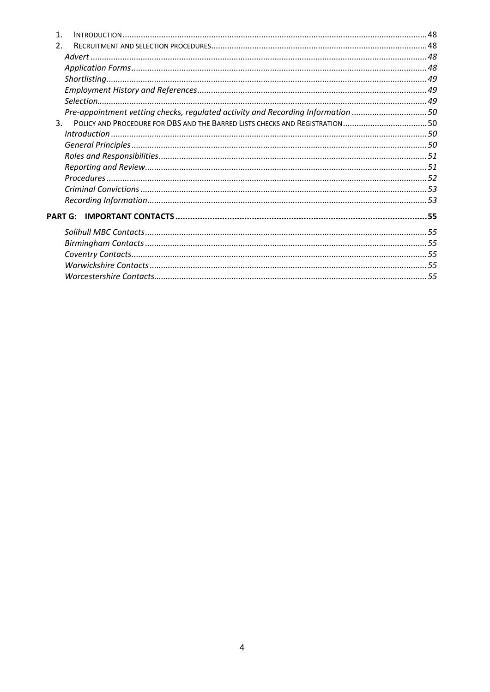| $\overline{2}$ . |                                                                                 |  |
|------------------|---------------------------------------------------------------------------------|--|
|                  |                                                                                 |  |
|                  |                                                                                 |  |
|                  |                                                                                 |  |
|                  |                                                                                 |  |
|                  |                                                                                 |  |
|                  | Pre-appointment vetting checks, regulated activity and Recording Information 50 |  |
| $\mathbf{3}$     | POLICY AND PROCEDURE FOR DBS AND THE BARRED LISTS CHECKS AND REGISTRATION50     |  |
|                  |                                                                                 |  |
|                  |                                                                                 |  |
|                  |                                                                                 |  |
|                  |                                                                                 |  |
|                  |                                                                                 |  |
|                  |                                                                                 |  |
|                  |                                                                                 |  |
|                  | <b>PART G:</b>                                                                  |  |
|                  |                                                                                 |  |
|                  |                                                                                 |  |
|                  |                                                                                 |  |
|                  |                                                                                 |  |
|                  |                                                                                 |  |
|                  |                                                                                 |  |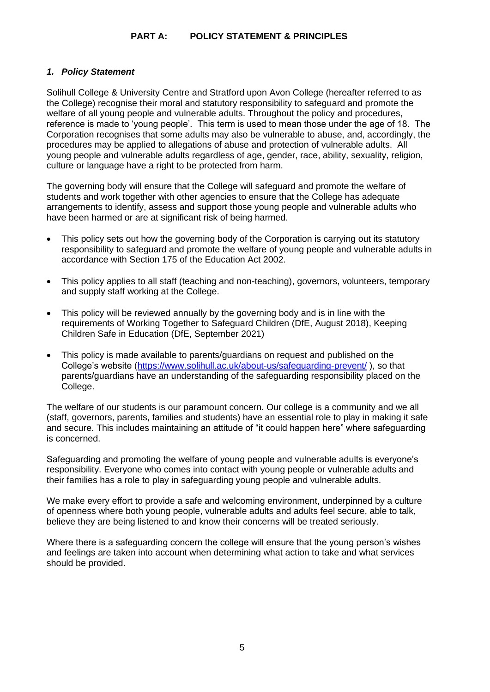## <span id="page-4-0"></span>**PART A: POLICY STATEMENT & PRINCIPLES**

## <span id="page-4-1"></span>*1. Policy Statement*

Solihull College & University Centre and Stratford upon Avon College (hereafter referred to as the College) recognise their moral and statutory responsibility to safeguard and promote the welfare of all young people and vulnerable adults. Throughout the policy and procedures, reference is made to 'young people'. This term is used to mean those under the age of 18. The Corporation recognises that some adults may also be vulnerable to abuse, and, accordingly, the procedures may be applied to allegations of abuse and protection of vulnerable adults. All young people and vulnerable adults regardless of age, gender, race, ability, sexuality, religion, culture or language have a right to be protected from harm.

The governing body will ensure that the College will safeguard and promote the welfare of students and work together with other agencies to ensure that the College has adequate arrangements to identify, assess and support those young people and vulnerable adults who have been harmed or are at significant risk of being harmed.

- This policy sets out how the governing body of the Corporation is carrying out its statutory responsibility to safeguard and promote the welfare of young people and vulnerable adults in accordance with Section 175 of the Education Act 2002.
- This policy applies to all staff (teaching and non-teaching), governors, volunteers, temporary and supply staff working at the College.
- This policy will be reviewed annually by the governing body and is in line with the requirements of Working Together to Safeguard Children (DfE, August 2018), Keeping Children Safe in Education (DfE, September 2021)
- This policy is made available to parents/guardians on request and published on the College's website [\(https://www.solihull.ac.uk/about-us/safeguarding-prevent/](https://www.solihull.ac.uk/about-us/safeguarding-prevent/) ), so that parents/guardians have an understanding of the safeguarding responsibility placed on the College.

The welfare of our students is our paramount concern. Our college is a community and we all (staff, governors, parents, families and students) have an essential role to play in making it safe and secure. This includes maintaining an attitude of "it could happen here" where safeguarding is concerned.

Safeguarding and promoting the welfare of young people and vulnerable adults is everyone's responsibility. Everyone who comes into contact with young people or vulnerable adults and their families has a role to play in safeguarding young people and vulnerable adults.

We make every effort to provide a safe and welcoming environment, underpinned by a culture of openness where both young people, vulnerable adults and adults feel secure, able to talk, believe they are being listened to and know their concerns will be treated seriously.

Where there is a safeguarding concern the college will ensure that the young person's wishes and feelings are taken into account when determining what action to take and what services should be provided.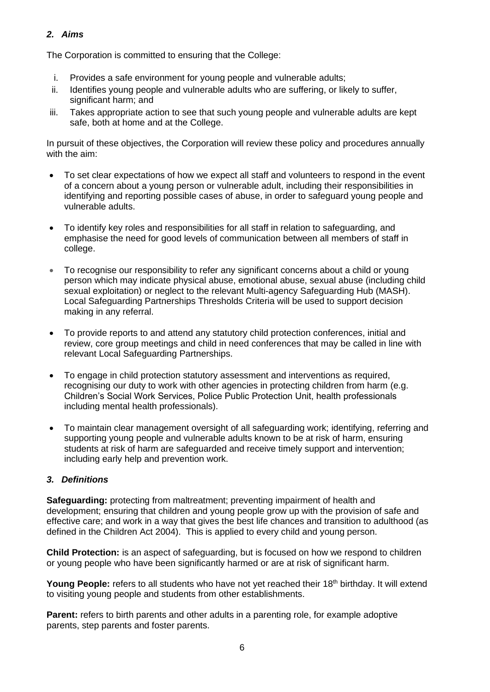## <span id="page-5-0"></span>*2. Aims*

The Corporation is committed to ensuring that the College:

- i. Provides a safe environment for young people and vulnerable adults;
- ii. Identifies young people and vulnerable adults who are suffering, or likely to suffer, significant harm; and
- iii. Takes appropriate action to see that such young people and vulnerable adults are kept safe, both at home and at the College.

In pursuit of these objectives, the Corporation will review these policy and procedures annually with the aim:

- To set clear expectations of how we expect all staff and volunteers to respond in the event of a concern about a young person or vulnerable adult, including their responsibilities in identifying and reporting possible cases of abuse, in order to safeguard young people and vulnerable adults.
- To identify key roles and responsibilities for all staff in relation to safeguarding, and emphasise the need for good levels of communication between all members of staff in college.
- To recognise our responsibility to refer any significant concerns about a child or young person which may indicate physical abuse, emotional abuse, sexual abuse (including child sexual exploitation) or neglect to the relevant Multi-agency Safeguarding Hub (MASH). Local Safeguarding Partnerships Thresholds Criteria will be used to support decision making in any referral.
- To provide reports to and attend any statutory child protection conferences, initial and review, core group meetings and child in need conferences that may be called in line with relevant Local Safeguarding Partnerships.
- To engage in child protection statutory assessment and interventions as required, recognising our duty to work with other agencies in protecting children from harm (e.g. Children's Social Work Services, Police Public Protection Unit, health professionals including mental health professionals).
- To maintain clear management oversight of all safeguarding work; identifying, referring and supporting young people and vulnerable adults known to be at risk of harm, ensuring students at risk of harm are safeguarded and receive timely support and intervention; including early help and prevention work.

## <span id="page-5-1"></span>*3. Definitions*

**Safeguarding:** protecting from maltreatment; preventing impairment of health and development; ensuring that children and young people grow up with the provision of safe and effective care; and work in a way that gives the best life chances and transition to adulthood (as defined in the Children Act 2004). This is applied to every child and young person.

**Child Protection:** is an aspect of safeguarding, but is focused on how we respond to children or young people who have been significantly harmed or are at risk of significant harm.

Young People: refers to all students who have not yet reached their 18<sup>th</sup> birthday. It will extend to visiting young people and students from other establishments.

**Parent:** refers to birth parents and other adults in a parenting role, for example adoptive parents, step parents and foster parents.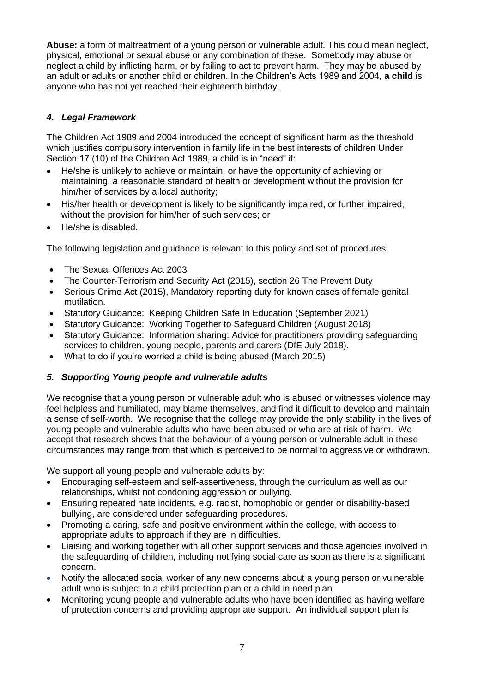**Abuse:** a form of maltreatment of a young person or vulnerable adult. This could mean neglect, physical, emotional or sexual abuse or any combination of these. Somebody may abuse or neglect a child by inflicting harm, or by failing to act to prevent harm. They may be abused by an adult or adults or another child or children. In the Children's Acts 1989 and 2004, **a child** is anyone who has not yet reached their eighteenth birthday.

## <span id="page-6-0"></span>*4. Legal Framework*

The Children Act 1989 and 2004 introduced the concept of significant harm as the threshold which justifies compulsory intervention in family life in the best interests of children Under Section 17 (10) of the Children Act 1989, a child is in "need" if:

- He/she is unlikely to achieve or maintain, or have the opportunity of achieving or maintaining, a reasonable standard of health or development without the provision for him/her of services by a local authority;
- His/her health or development is likely to be significantly impaired, or further impaired, without the provision for him/her of such services; or
- He/she is disabled.

The following legislation and guidance is relevant to this policy and set of procedures:

- The Sexual Offences Act 2003
- The Counter-Terrorism and Security Act (2015), section 26 The Prevent Duty
- Serious Crime Act (2015), Mandatory reporting duty for known cases of female genital mutilation.
- Statutory Guidance: Keeping Children Safe In Education (September 2021)
- Statutory Guidance: Working Together to Safeguard Children (August 2018)
- Statutory Guidance: Information sharing: Advice for practitioners providing safeguarding services to children, young people, parents and carers (DfE July 2018).
- What to do if you're worried a child is being abused (March 2015)

## <span id="page-6-1"></span>*5. Supporting Young people and vulnerable adults*

We recognise that a young person or vulnerable adult who is abused or witnesses violence may feel helpless and humiliated, may blame themselves, and find it difficult to develop and maintain a sense of self-worth. We recognise that the college may provide the only stability in the lives of young people and vulnerable adults who have been abused or who are at risk of harm. We accept that research shows that the behaviour of a young person or vulnerable adult in these circumstances may range from that which is perceived to be normal to aggressive or withdrawn.

We support all young people and vulnerable adults by:

- Encouraging self-esteem and self-assertiveness, through the curriculum as well as our relationships, whilst not condoning aggression or bullying.
- Ensuring repeated hate incidents, e.g. racist, homophobic or gender or disability-based bullying, are considered under safeguarding procedures.
- Promoting a caring, safe and positive environment within the college, with access to appropriate adults to approach if they are in difficulties.
- Liaising and working together with all other support services and those agencies involved in the safeguarding of children, including notifying social care as soon as there is a significant concern.
- Notify the allocated social worker of any new concerns about a young person or vulnerable adult who is subject to a child protection plan or a child in need plan
- Monitoring young people and vulnerable adults who have been identified as having welfare of protection concerns and providing appropriate support. An individual support plan is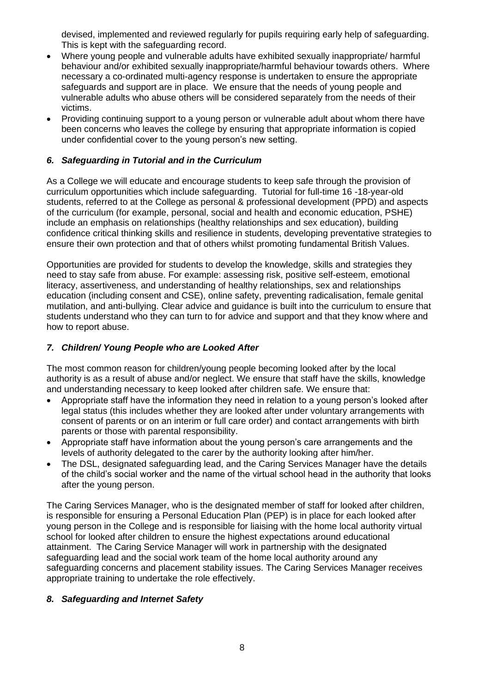devised, implemented and reviewed regularly for pupils requiring early help of safeguarding. This is kept with the safeguarding record.

- Where young people and vulnerable adults have exhibited sexually inappropriate/ harmful behaviour and/or exhibited sexually inappropriate/harmful behaviour towards others. Where necessary a co-ordinated multi-agency response is undertaken to ensure the appropriate safeguards and support are in place. We ensure that the needs of young people and vulnerable adults who abuse others will be considered separately from the needs of their victims.
- Providing continuing support to a young person or vulnerable adult about whom there have been concerns who leaves the college by ensuring that appropriate information is copied under confidential cover to the young person's new setting.

## <span id="page-7-0"></span>*6. Safeguarding in Tutorial and in the Curriculum*

As a College we will educate and encourage students to keep safe through the provision of curriculum opportunities which include safeguarding. Tutorial for full-time 16 -18-year-old students, referred to at the College as personal & professional development (PPD) and aspects of the curriculum (for example, personal, social and health and economic education, PSHE) include an emphasis on relationships (healthy relationships and sex education), building confidence critical thinking skills and resilience in students, developing preventative strategies to ensure their own protection and that of others whilst promoting fundamental British Values.

Opportunities are provided for students to develop the knowledge, skills and strategies they need to stay safe from abuse. For example: assessing risk, positive self-esteem, emotional literacy, assertiveness, and understanding of healthy relationships, sex and relationships education (including consent and CSE), online safety, preventing radicalisation, female genital mutilation, and anti-bullying. Clear advice and guidance is built into the curriculum to ensure that students understand who they can turn to for advice and support and that they know where and how to report abuse.

## <span id="page-7-1"></span>*7. Children/ Young People who are Looked After*

The most common reason for children/young people becoming looked after by the local authority is as a result of abuse and/or neglect. We ensure that staff have the skills, knowledge and understanding necessary to keep looked after children safe. We ensure that:

- Appropriate staff have the information they need in relation to a young person's looked after legal status (this includes whether they are looked after under voluntary arrangements with consent of parents or on an interim or full care order) and contact arrangements with birth parents or those with parental responsibility.
- Appropriate staff have information about the young person's care arrangements and the levels of authority delegated to the carer by the authority looking after him/her.
- The DSL, designated safeguarding lead, and the Caring Services Manager have the details of the child's social worker and the name of the virtual school head in the authority that looks after the young person.

The Caring Services Manager, who is the designated member of staff for looked after children, is responsible for ensuring a Personal Education Plan (PEP) is in place for each looked after young person in the College and is responsible for liaising with the home local authority virtual school for looked after children to ensure the highest expectations around educational attainment. The Caring Service Manager will work in partnership with the designated safeguarding lead and the social work team of the home local authority around any safeguarding concerns and placement stability issues. The Caring Services Manager receives appropriate training to undertake the role effectively.

## <span id="page-7-2"></span>*8. Safeguarding and Internet Safety*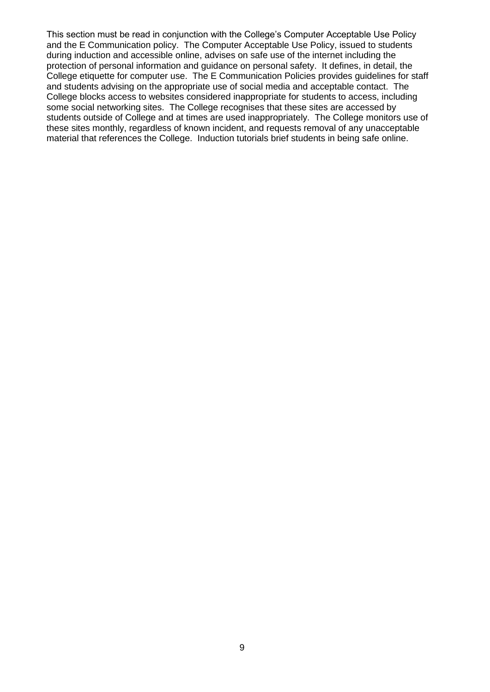This section must be read in conjunction with the College's Computer Acceptable Use Policy and the E Communication policy. The Computer Acceptable Use Policy, issued to students during induction and accessible online, advises on safe use of the internet including the protection of personal information and guidance on personal safety. It defines, in detail, the College etiquette for computer use. The E Communication Policies provides guidelines for staff and students advising on the appropriate use of social media and acceptable contact. The College blocks access to websites considered inappropriate for students to access, including some social networking sites. The College recognises that these sites are accessed by students outside of College and at times are used inappropriately. The College monitors use of these sites monthly, regardless of known incident, and requests removal of any unacceptable material that references the College. Induction tutorials brief students in being safe online.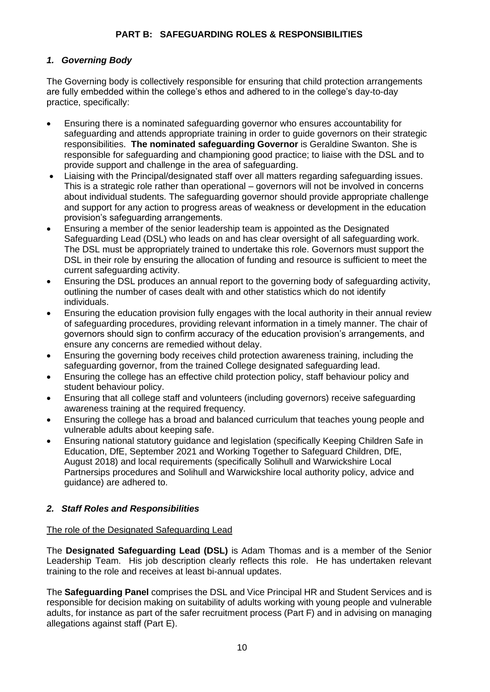## **PART B: SAFEGUARDING ROLES & RESPONSIBILITIES**

## <span id="page-9-1"></span><span id="page-9-0"></span>*1. Governing Body*

The Governing body is collectively responsible for ensuring that child protection arrangements are fully embedded within the college's ethos and adhered to in the college's day-to-day practice, specifically:

- Ensuring there is a nominated safeguarding governor who ensures accountability for safeguarding and attends appropriate training in order to guide governors on their strategic responsibilities. **The nominated safeguarding Governor** is Geraldine Swanton. She is responsible for safeguarding and championing good practice; to liaise with the DSL and to provide support and challenge in the area of safeguarding.
- Liaising with the Principal/designated staff over all matters regarding safeguarding issues. This is a strategic role rather than operational – governors will not be involved in concerns about individual students. The safeguarding governor should provide appropriate challenge and support for any action to progress areas of weakness or development in the education provision's safeguarding arrangements.
- Ensuring a member of the senior leadership team is appointed as the Designated Safeguarding Lead (DSL) who leads on and has clear oversight of all safeguarding work. The DSL must be appropriately trained to undertake this role. Governors must support the DSL in their role by ensuring the allocation of funding and resource is sufficient to meet the current safeguarding activity.
- Ensuring the DSL produces an annual report to the governing body of safeguarding activity, outlining the number of cases dealt with and other statistics which do not identify individuals.
- Ensuring the education provision fully engages with the local authority in their annual review of safeguarding procedures, providing relevant information in a timely manner. The chair of governors should sign to confirm accuracy of the education provision's arrangements, and ensure any concerns are remedied without delay.
- Ensuring the governing body receives child protection awareness training, including the safeguarding governor, from the trained College designated safeguarding lead.
- Ensuring the college has an effective child protection policy, staff behaviour policy and student behaviour policy.
- Ensuring that all college staff and volunteers (including governors) receive safeguarding awareness training at the required frequency.
- Ensuring the college has a broad and balanced curriculum that teaches young people and vulnerable adults about keeping safe.
- Ensuring national statutory guidance and legislation (specifically Keeping Children Safe in Education, DfE, September 2021 and Working Together to Safeguard Children, DfE, August 2018) and local requirements (specifically Solihull and Warwickshire Local Partnersips procedures and Solihull and Warwickshire local authority policy, advice and guidance) are adhered to.

## <span id="page-9-2"></span>*2. Staff Roles and Responsibilities*

## <span id="page-9-3"></span>The role of the Designated Safeguarding Lead

The **Designated Safeguarding Lead (DSL)** is Adam Thomas and is a member of the Senior Leadership Team. His job description clearly reflects this role. He has undertaken relevant training to the role and receives at least bi-annual updates.

The **Safeguarding Panel** comprises the DSL and Vice Principal HR and Student Services and is responsible for decision making on suitability of adults working with young people and vulnerable adults, for instance as part of the safer recruitment process (Part F) and in advising on managing allegations against staff (Part E).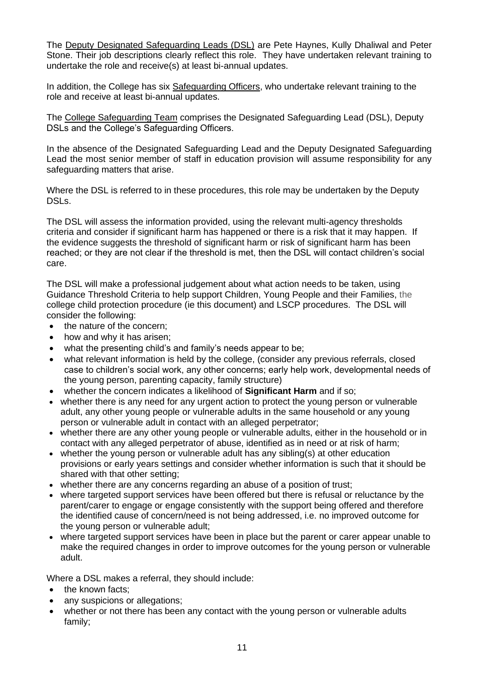The Deputy Designated Safeguarding Leads (DSL) are Pete Haynes, Kully Dhaliwal and Peter Stone. Their job descriptions clearly reflect this role. They have undertaken relevant training to undertake the role and receive(s) at least bi-annual updates.

In addition, the College has six Safeguarding Officers, who undertake relevant training to the role and receive at least bi-annual updates.

The College Safeguarding Team comprises the Designated Safeguarding Lead (DSL), Deputy DSLs and the College's Safeguarding Officers.

In the absence of the Designated Safeguarding Lead and the Deputy Designated Safeguarding Lead the most senior member of staff in education provision will assume responsibility for any safeguarding matters that arise.

Where the DSL is referred to in these procedures, this role may be undertaken by the Deputy DSLs.

The DSL will assess the information provided, using the relevant multi-agency thresholds criteria and consider if significant harm has happened or there is a risk that it may happen. If the evidence suggests the threshold of significant harm or risk of significant harm has been reached; or they are not clear if the threshold is met, then the DSL will contact children's social care.

The DSL will make a professional judgement about what action needs to be taken, using Guidance Threshold Criteria to help support Children, Young People and their Families, the college child protection procedure (ie this document) and LSCP procedures. The DSL will consider the following:

- the nature of the concern;
- how and why it has arisen;
- what the presenting child's and family's needs appear to be:
- what relevant information is held by the college, (consider any previous referrals, closed case to children's social work, any other concerns; early help work, developmental needs of the young person, parenting capacity, family structure)
- whether the concern indicates a likelihood of **[Significant Harm](http://www.proceduresonline.com/resources/keywords_online/nat_key/keywords/significant_harm.html)** and if so;
- whether there is any need for any urgent action to protect the young person or vulnerable adult, any other young people or vulnerable adults in the same household or any young person or vulnerable adult in contact with an alleged perpetrator;
- whether there are any other young people or vulnerable adults, either in the household or in contact with any alleged perpetrator of abuse, identified as in need or at risk of harm;
- whether the young person or vulnerable adult has any sibling(s) at other education provisions or early years settings and consider whether information is such that it should be shared with that other setting;
- whether there are any concerns regarding an abuse of a position of trust;
- where targeted support services have been offered but there is refusal or reluctance by the parent/carer to engage or engage consistently with the support being offered and therefore the identified cause of concern/need is not being addressed, i.e. no improved outcome for the young person or vulnerable adult;
- where targeted support services have been in place but the parent or carer appear unable to make the required changes in order to improve outcomes for the young person or vulnerable adult.

Where a DSL makes a referral, they should include:

- the known facts:
- any suspicions or allegations:
- whether or not there has been any contact with the young person or vulnerable adults family;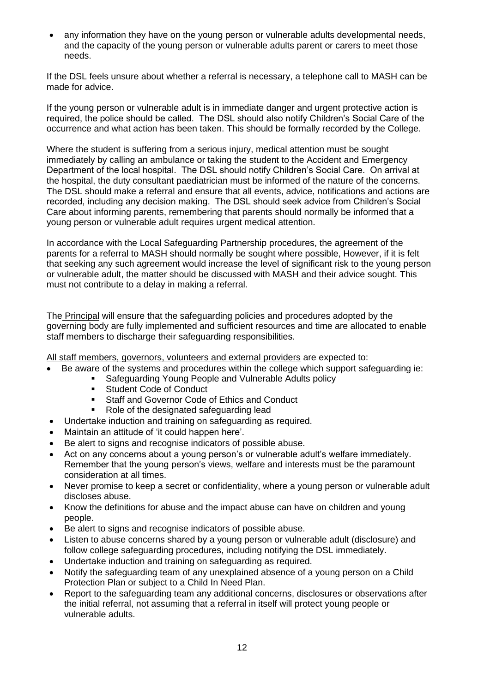• any information they have on the young person or vulnerable adults developmental needs, and the capacity of the young person or vulnerable adults parent or carers to meet those needs.

If the DSL feels unsure about whether a referral is necessary, a telephone call to MASH can be made for advice.

If the young person or vulnerable adult is in immediate danger and urgent protective action is required, the police should be called. The DSL should also notify Children's Social Care of the occurrence and what action has been taken. This should be formally recorded by the College.

Where the student is suffering from a serious injury, medical attention must be sought immediately by calling an ambulance or taking the student to the Accident and Emergency Department of the local hospital. The DSL should notify Children's Social Care. On arrival at the hospital, the duty consultant paediatrician must be informed of the nature of the concerns. The DSL should make a referral and ensure that all events, advice, notifications and actions are recorded, including any decision making. The DSL should seek advice from Children's Social Care about informing parents, remembering that parents should normally be informed that a young person or vulnerable adult requires urgent medical attention.

In accordance with the [Local Safeguarding Partnership](http://solihulllscb.proceduresonline.com/index.htm) procedures, the agreement of the parents for a referral to MASH should normally be sought where possible, However, if it is felt that seeking any such agreement would increase the level of significant risk to the young person or vulnerable adult, the matter should be discussed with MASH and their advice sought. This must not contribute to a delay in making a referral.

The Principal will ensure that the safeguarding policies and procedures adopted by the governing body are fully implemented and sufficient resources and time are allocated to enable staff members to discharge their safeguarding responsibilities.

<span id="page-11-0"></span>All staff members, governors, volunteers and external providers are expected to:

- Be aware of the systems and procedures within the college which support safeguarding ie:
	- Safeguarding Young People and Vulnerable Adults policy
	- Student Code of Conduct
	- Staff and Governor Code of Ethics and Conduct
	- Role of the designated safeguarding lead
- Undertake induction and training on safeguarding as required.
- Maintain an attitude of 'it could happen here'.
- Be alert to signs and recognise indicators of possible abuse.
- Act on any concerns about a young person's or vulnerable adult's welfare immediately. Remember that the young person's views, welfare and interests must be the paramount consideration at all times.
- Never promise to keep a secret or confidentiality, where a young person or vulnerable adult discloses abuse.
- Know the definitions for abuse and the impact abuse can have on children and young people.
- Be alert to signs and recognise indicators of possible abuse.
- Listen to abuse concerns shared by a young person or vulnerable adult (disclosure) and follow college safeguarding procedures, including notifying the DSL immediately.
- Undertake induction and training on safeguarding as required.
- Notify the safeguarding team of any unexplained absence of a young person on a Child Protection Plan or subject to a Child In Need Plan.
- Report to the safeguarding team any additional concerns, disclosures or observations after the initial referral, not assuming that a referral in itself will protect young people or vulnerable adults.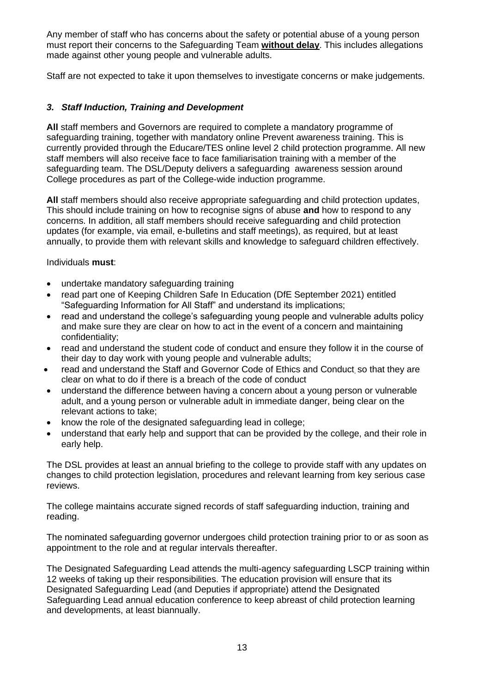Any member of staff who has concerns about the safety or potential abuse of a young person must report their concerns to the Safeguarding Team **without delay**. This includes allegations made against other young people and vulnerable adults.

Staff are not expected to take it upon themselves to investigate concerns or make judgements.

## <span id="page-12-0"></span>*3. Staff Induction, Training and Development*

**All** staff members and Governors are required to complete a mandatory programme of safeguarding training, together with mandatory online Prevent awareness training. This is currently provided through the Educare/TES online level 2 child protection programme. All new staff members will also receive face to face familiarisation training with a member of the safeguarding team. The DSL/Deputy delivers a safeguarding awareness session around College procedures as part of the College-wide induction programme.

**All** staff members should also receive appropriate safeguarding and child protection updates, This should include training on how to recognise signs of abuse **and** how to respond to any concerns. In addition, all staff members should receive safeguarding and child protection updates (for example, via email, e-bulletins and staff meetings), as required, but at least annually, to provide them with relevant skills and knowledge to safeguard children effectively.

Individuals **must**:

- undertake mandatory safeguarding training
- read part one of Keeping Children Safe In Education (DfE September 2021) entitled "Safeguarding Information for All Staff" and understand its implications;
- read and understand the college's safeguarding young people and vulnerable adults policy and make sure they are clear on how to act in the event of a concern and maintaining confidentiality;
- read and understand the student code of conduct and ensure they follow it in the course of their day to day work with young people and vulnerable adults;
- read and understand the Staff and Governor Code of Ethics and Conduct so that they are clear on what to do if there is a breach of the code of conduct
- understand the difference between having a concern about a young person or vulnerable adult, and a young person or vulnerable adult in immediate danger, being clear on the relevant actions to take;
- know the role of the designated safeguarding lead in college;
- understand that early help and support that can be provided by the college, and their role in early help.

The DSL provides at least an annual briefing to the college to provide staff with any updates on changes to child protection legislation, procedures and relevant learning from key serious case reviews.

The college maintains accurate signed records of staff safeguarding induction, training and reading.

The nominated safeguarding governor undergoes child protection training prior to or as soon as appointment to the role and at regular intervals thereafter.

The Designated Safeguarding Lead attends the multi-agency safeguarding LSCP training within 12 weeks of taking up their responsibilities. The education provision will ensure that its Designated Safeguarding Lead (and Deputies if appropriate) attend the Designated Safeguarding Lead annual education conference to keep abreast of child protection learning and developments, at least biannually.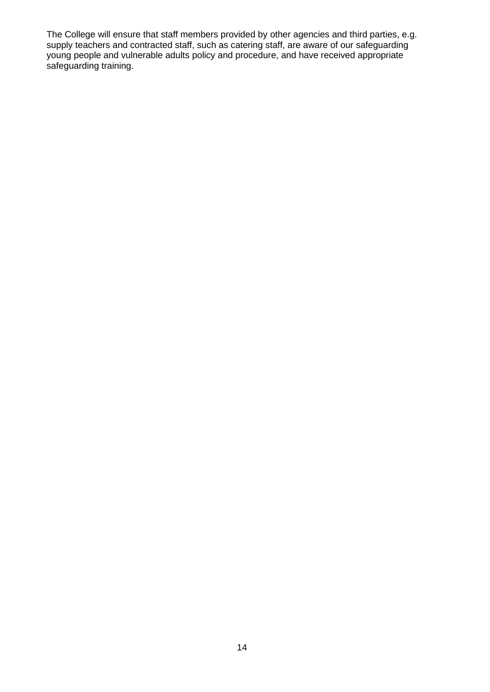The College will ensure that staff members provided by other agencies and third parties, e.g. supply teachers and contracted staff, such as catering staff, are aware of our safeguarding young people and vulnerable adults policy and procedure, and have received appropriate safeguarding training.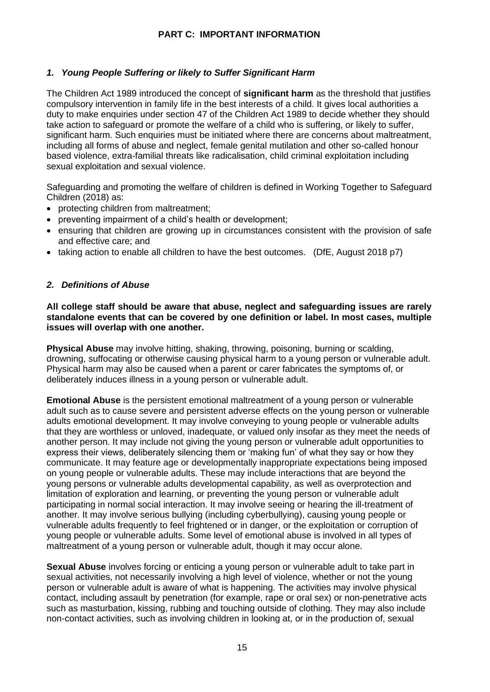## **PART C: IMPORTANT INFORMATION**

## <span id="page-14-1"></span><span id="page-14-0"></span>*1. Young People Suffering or likely to Suffer Significant Harm*

The Children Act 1989 introduced the concept of **significant harm** as the threshold that justifies compulsory intervention in family life in the best interests of a child. It gives local authorities a duty to make enquiries under section 47 of the Children Act 1989 to decide whether they should take action to safeguard or promote the welfare of a child who is suffering, or likely to suffer, significant harm. Such enquiries must be initiated where there are concerns about maltreatment, including all forms of abuse and neglect, female genital mutilation and other so-called honour based violence, extra-familial threats like radicalisation, child criminal exploitation including sexual exploitation and sexual violence.

Safeguarding and promoting the welfare of children is defined in Working Together to Safeguard Children (2018) as:

- protecting children from maltreatment;
- preventing impairment of a child's health or development;
- ensuring that children are growing up in circumstances consistent with the provision of safe and effective care; and
- taking action to enable all children to have the best outcomes. (DfE, August 2018 p7)

## <span id="page-14-2"></span>*2. Definitions of Abuse*

**All college staff should be aware that abuse, neglect and safeguarding issues are rarely standalone events that can be covered by one definition or label. In most cases, multiple issues will overlap with one another.** 

**Physical Abuse** may involve hitting, shaking, throwing, poisoning, burning or scalding, drowning, suffocating or otherwise causing physical harm to a young person or vulnerable adult. Physical harm may also be caused when a parent or carer fabricates the symptoms of, or deliberately induces illness in a young person or vulnerable adult.

**Emotional Abuse** is the persistent emotional maltreatment of a young person or vulnerable adult such as to cause severe and persistent adverse effects on the young person or vulnerable adults emotional development. It may involve conveying to young people or vulnerable adults that they are worthless or unloved, inadequate, or valued only insofar as they meet the needs of another person. It may include not giving the young person or vulnerable adult opportunities to express their views, deliberately silencing them or 'making fun' of what they say or how they communicate. It may feature age or developmentally inappropriate expectations being imposed on young people or vulnerable adults. These may include interactions that are beyond the young persons or vulnerable adults developmental capability, as well as overprotection and limitation of exploration and learning, or preventing the young person or vulnerable adult participating in normal social interaction. It may involve seeing or hearing the ill-treatment of another. It may involve serious bullying (including cyberbullying), causing young people or vulnerable adults frequently to feel frightened or in danger, or the exploitation or corruption of young people or vulnerable adults. Some level of emotional abuse is involved in all types of maltreatment of a young person or vulnerable adult, though it may occur alone.

**Sexual Abuse** involves forcing or enticing a young person or vulnerable adult to take part in sexual activities, not necessarily involving a high level of violence, whether or not the young person or vulnerable adult is aware of what is happening. The activities may involve physical contact, including assault by penetration (for example, rape or oral sex) or non-penetrative acts such as masturbation, kissing, rubbing and touching outside of clothing. They may also include non-contact activities, such as involving children in looking at, or in the production of, sexual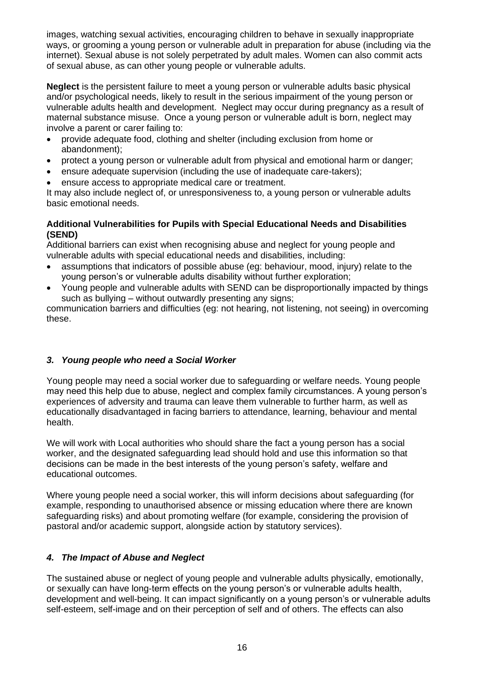images, watching sexual activities, encouraging children to behave in sexually inappropriate ways, or grooming a young person or vulnerable adult in preparation for abuse (including via the internet). Sexual abuse is not solely perpetrated by adult males. Women can also commit acts of sexual abuse, as can other young people or vulnerable adults.

**Neglect** is the persistent failure to meet a young person or vulnerable adults basic physical and/or psychological needs, likely to result in the serious impairment of the young person or vulnerable adults health and development.Neglect may occur during pregnancy as a result of maternal substance misuse. Once a young person or vulnerable adult is born, neglect may involve a parent or carer failing to:

- provide adequate food, clothing and shelter (including exclusion from home or abandonment);
- protect a young person or vulnerable adult from physical and emotional harm or danger;
- ensure adequate supervision (including the use of inadequate care-takers);
- ensure access to appropriate medical care or treatment.

It may also include neglect of, or unresponsiveness to, a young person or vulnerable adults basic emotional needs.

## **Additional Vulnerabilities for Pupils with Special Educational Needs and Disabilities (SEND)**

Additional barriers can exist when recognising abuse and neglect for young people and vulnerable adults with special educational needs and disabilities, including:

- assumptions that indicators of possible abuse (eg: behaviour, mood, injury) relate to the young person's or vulnerable adults disability without further exploration;
- Young people and vulnerable adults with SEND can be disproportionally impacted by things such as bullying – without outwardly presenting any signs;

communication barriers and difficulties (eg: not hearing, not listening, not seeing) in overcoming these.

## <span id="page-15-0"></span>*3. Young people who need a Social Worker*

Young people may need a social worker due to safeguarding or welfare needs. Young people may need this help due to abuse, neglect and complex family circumstances. A young person's experiences of adversity and trauma can leave them vulnerable to further harm, as well as educationally disadvantaged in facing barriers to attendance, learning, behaviour and mental health.

We will work with Local authorities who should share the fact a young person has a social worker, and the designated safeguarding lead should hold and use this information so that decisions can be made in the best interests of the young person's safety, welfare and educational outcomes.

Where young people need a social worker, this will inform decisions about safeguarding (for example, responding to unauthorised absence or missing education where there are known safeguarding risks) and about promoting welfare (for example, considering the provision of pastoral and/or academic support, alongside action by statutory services).

## <span id="page-15-1"></span>*4. The Impact of Abuse and Neglect*

The sustained abuse or neglect of young people and vulnerable adults physically, emotionally, or sexually can have long-term effects on the young person's or vulnerable adults health, development and well-being. It can impact significantly on a young person's or vulnerable adults self-esteem, self-image and on their perception of self and of others. The effects can also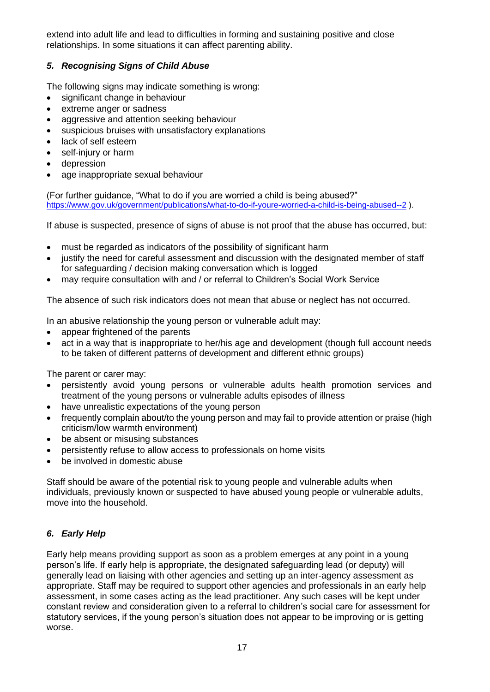extend into adult life and lead to difficulties in forming and sustaining positive and close relationships. In some situations it can affect parenting ability.

## <span id="page-16-0"></span>*5. Recognising Signs of Child Abuse*

The following signs may indicate something is wrong:

- significant change in behaviour
- extreme anger or sadness
- aggressive and attention seeking behaviour
- suspicious bruises with unsatisfactory explanations
- lack of self esteem
- self-injury or harm
- depression
- age inappropriate sexual behaviour

(For further guidance, "What to do if you are worried a child is being abused?" <https://www.gov.uk/government/publications/what-to-do-if-youre-worried-a-child-is-being-abused--2> ).

If abuse is suspected, presence of signs of abuse is not proof that the abuse has occurred, but:

- must be regarded as indicators of the possibility of significant harm
- justify the need for careful assessment and discussion with the designated member of staff for safeguarding / decision making conversation which is logged
- may require consultation with and / or referral to Children's Social Work Service

The absence of such risk indicators does not mean that abuse or neglect has not occurred.

In an abusive relationship the young person or vulnerable adult may:

- appear frightened of the parents
- act in a way that is inappropriate to her/his age and development (though full account needs to be taken of different patterns of development and different ethnic groups)

The parent or carer may:

- persistently avoid young persons or vulnerable adults health promotion services and treatment of the young persons or vulnerable adults episodes of illness
- have unrealistic expectations of the young person
- frequently complain about/to the young person and may fail to provide attention or praise (high criticism/low warmth environment)
- be absent or misusing substances
- persistently refuse to allow access to professionals on home visits
- be involved in domestic abuse

Staff should be aware of the potential risk to young people and vulnerable adults when individuals, previously known or suspected to have abused young people or vulnerable adults, move into the household.

## <span id="page-16-1"></span>*6. Early Help*

Early help means providing support as soon as a problem emerges at any point in a young person's life. If early help is appropriate, the designated safeguarding lead (or deputy) will generally lead on liaising with other agencies and setting up an inter-agency assessment as appropriate. Staff may be required to support other agencies and professionals in an early help assessment, in some cases acting as the lead practitioner. Any such cases will be kept under constant review and consideration given to a referral to children's social care for assessment for statutory services, if the young person's situation does not appear to be improving or is getting worse.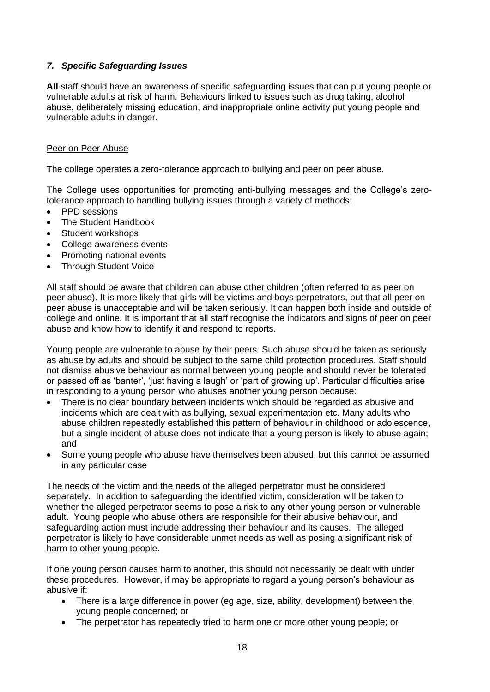## <span id="page-17-0"></span>*7. Specific Safeguarding Issues*

**All** staff should have an awareness of specific safeguarding issues that can put young people or vulnerable adults at risk of harm. Behaviours linked to issues such as drug taking, alcohol abuse, deliberately missing education, and inappropriate online activity put young people and vulnerable adults in danger.

#### <span id="page-17-1"></span>Peer on Peer Abuse

The college operates a zero-tolerance approach to bullying and peer on peer abuse.

The College uses opportunities for promoting anti-bullying messages and the College's zerotolerance approach to handling bullying issues through a variety of methods:

- PPD sessions
- The Student Handbook
- Student workshops
- College awareness events
- Promoting national events
- Through Student Voice

All staff should be aware that children can abuse other children (often referred to as peer on peer abuse). It is more likely that girls will be victims and boys perpetrators, but that all peer on peer abuse is unacceptable and will be taken seriously. It can happen both inside and outside of college and online. It is important that all staff recognise the indicators and signs of peer on peer abuse and know how to identify it and respond to reports.

Young people are vulnerable to abuse by their peers. Such abuse should be taken as seriously as abuse by adults and should be subject to the same child protection procedures. Staff should not dismiss abusive behaviour as normal between young people and should never be tolerated or passed off as 'banter', 'just having a laugh' or 'part of growing up'. Particular difficulties arise in responding to a young person who abuses another young person because:

- There is no clear boundary between incidents which should be regarded as abusive and incidents which are dealt with as bullying, sexual experimentation etc. Many adults who abuse children repeatedly established this pattern of behaviour in childhood or adolescence, but a single incident of abuse does not indicate that a young person is likely to abuse again; and
- Some young people who abuse have themselves been abused, but this cannot be assumed in any particular case

The needs of the victim and the needs of the alleged perpetrator must be considered separately. In addition to safeguarding the identified victim, consideration will be taken to whether the alleged perpetrator seems to pose a risk to any other young person or vulnerable adult. Young people who abuse others are responsible for their abusive behaviour, and safeguarding action must include addressing their behaviour and its causes. The alleged perpetrator is likely to have considerable unmet needs as well as posing a significant risk of harm to other young people.

If one young person causes harm to another, this should not necessarily be dealt with under these procedures. However, if may be appropriate to regard a young person's behaviour as abusive if:

- There is a large difference in power (eg age, size, ability, development) between the young people concerned; or
- The perpetrator has repeatedly tried to harm one or more other young people; or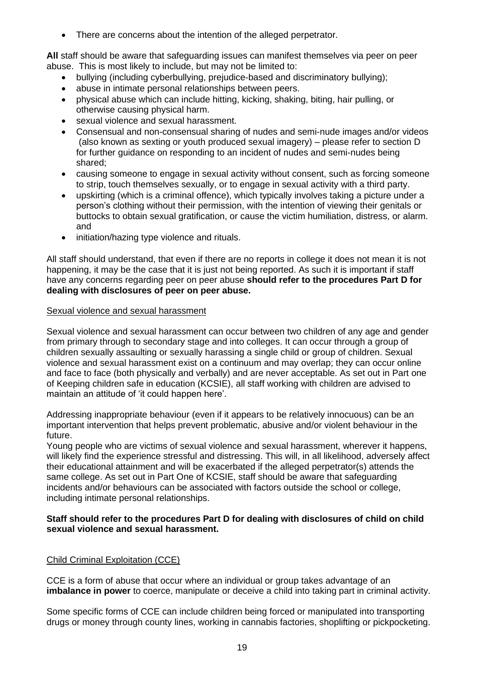• There are concerns about the intention of the alleged perpetrator.

**All** staff should be aware that safeguarding issues can manifest themselves via peer on peer abuse. This is most likely to include, but may not be limited to:

- bullying (including cyberbullying, prejudice-based and discriminatory bullying);
- abuse in intimate personal relationships between peers.
- physical abuse which can include hitting, kicking, shaking, biting, hair pulling, or otherwise causing physical harm.
- sexual violence and sexual harassment.
- Consensual and non-consensual sharing of nudes and semi-nude images and/or videos (also known as sexting or youth produced sexual imagery) – please refer to section D for further guidance on responding to an incident of nudes and semi-nudes being shared;
- causing someone to engage in sexual activity without consent, such as forcing someone to strip, touch themselves sexually, or to engage in sexual activity with a third party.
- upskirting (which is a criminal offence), which typically involves taking a picture under a person's clothing without their permission, with the intention of viewing their genitals or buttocks to obtain sexual gratification, or cause the victim humiliation, distress, or alarm. and
- initiation/hazing type violence and rituals.

All staff should understand, that even if there are no reports in college it does not mean it is not happening, it may be the case that it is just not being reported. As such it is important if staff have any concerns regarding peer on peer abuse **should refer to the procedures Part D for dealing with disclosures of peer on peer abuse.**

## <span id="page-18-0"></span>Sexual violence and sexual harassment

Sexual violence and sexual harassment can occur between two children of any age and gender from primary through to secondary stage and into colleges. It can occur through a group of children sexually assaulting or sexually harassing a single child or group of children. Sexual violence and sexual harassment exist on a continuum and may overlap; they can occur online and face to face (both physically and verbally) and are never acceptable. As set out in Part one of Keeping children safe in education (KCSIE), all staff working with children are advised to maintain an attitude of 'it could happen here'.

Addressing inappropriate behaviour (even if it appears to be relatively innocuous) can be an important intervention that helps prevent problematic, abusive and/or violent behaviour in the future.

Young people who are victims of sexual violence and sexual harassment, wherever it happens, will likely find the experience stressful and distressing. This will, in all likelihood, adversely affect their educational attainment and will be exacerbated if the alleged perpetrator(s) attends the same college. As set out in Part One of KCSIE, staff should be aware that safeguarding incidents and/or behaviours can be associated with factors outside the school or college, including intimate personal relationships.

#### **Staff should refer to the procedures Part D for dealing with disclosures of child on child sexual violence and sexual harassment.**

## <span id="page-18-1"></span>Child Criminal Exploitation (CCE)

CCE is a form of abuse that occur where an individual or group takes advantage of an **imbalance in power** to coerce, manipulate or deceive a child into taking part in criminal activity.

Some specific forms of CCE can include children being forced or manipulated into transporting drugs or money through county lines, working in cannabis factories, shoplifting or pickpocketing.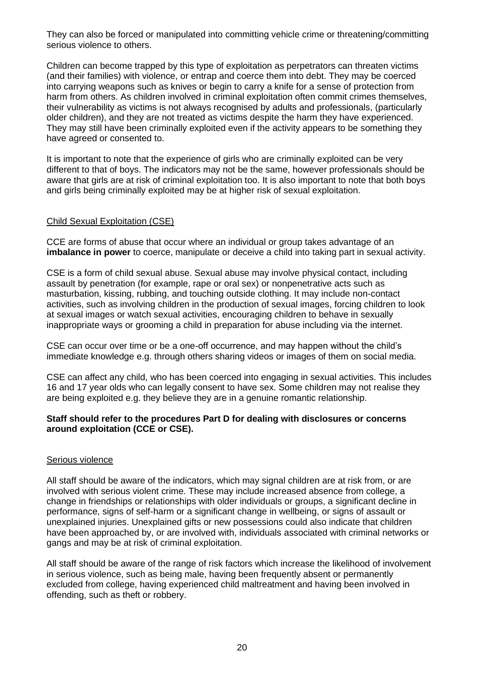They can also be forced or manipulated into committing vehicle crime or threatening/committing serious violence to others.

Children can become trapped by this type of exploitation as perpetrators can threaten victims (and their families) with violence, or entrap and coerce them into debt. They may be coerced into carrying weapons such as knives or begin to carry a knife for a sense of protection from harm from others. As children involved in criminal exploitation often commit crimes themselves, their vulnerability as victims is not always recognised by adults and professionals, (particularly older children), and they are not treated as victims despite the harm they have experienced. They may still have been criminally exploited even if the activity appears to be something they have agreed or consented to.

It is important to note that the experience of girls who are criminally exploited can be very different to that of boys. The indicators may not be the same, however professionals should be aware that girls are at risk of criminal exploitation too. It is also important to note that both boys and girls being criminally exploited may be at higher risk of sexual exploitation.

## <span id="page-19-0"></span>Child Sexual Exploitation (CSE)

CCE are forms of abuse that occur where an individual or group takes advantage of an **imbalance in power** to coerce, manipulate or deceive a child into taking part in sexual activity.

CSE is a form of child sexual abuse. Sexual abuse may involve physical contact, including assault by penetration (for example, rape or oral sex) or nonpenetrative acts such as masturbation, kissing, rubbing, and touching outside clothing. It may include non-contact activities, such as involving children in the production of sexual images, forcing children to look at sexual images or watch sexual activities, encouraging children to behave in sexually inappropriate ways or grooming a child in preparation for abuse including via the internet.

CSE can occur over time or be a one-off occurrence, and may happen without the child's immediate knowledge e.g. through others sharing videos or images of them on social media.

CSE can affect any child, who has been coerced into engaging in sexual activities. This includes 16 and 17 year olds who can legally consent to have sex. Some children may not realise they are being exploited e.g. they believe they are in a genuine romantic relationship.

## **Staff should refer to the procedures Part D for dealing with disclosures or concerns around exploitation (CCE or CSE).**

## <span id="page-19-1"></span>Serious violence

All staff should be aware of the indicators, which may signal children are at risk from, or are involved with serious violent crime. These may include increased absence from college, a change in friendships or relationships with older individuals or groups, a significant decline in performance, signs of self-harm or a significant change in wellbeing, or signs of assault or unexplained injuries. Unexplained gifts or new possessions could also indicate that children have been approached by, or are involved with, individuals associated with criminal networks or gangs and may be at risk of criminal exploitation.

All staff should be aware of the range of risk factors which increase the likelihood of involvement in serious violence, such as being male, having been frequently absent or permanently excluded from college, having experienced child maltreatment and having been involved in offending, such as theft or robbery.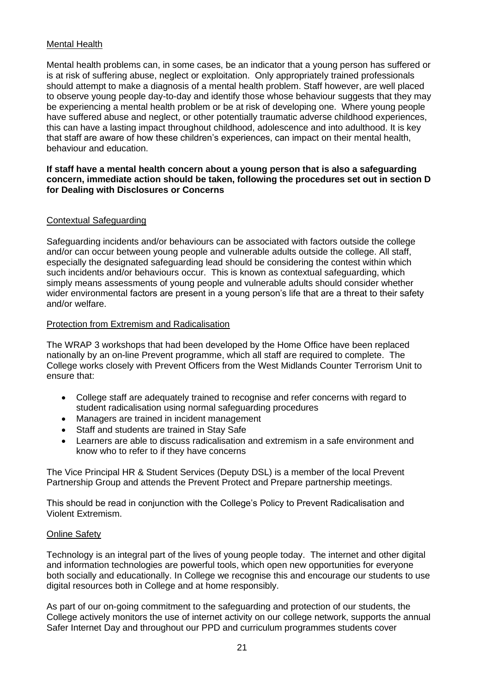## <span id="page-20-0"></span>Mental Health

Mental health problems can, in some cases, be an indicator that a young person has suffered or is at risk of suffering abuse, neglect or exploitation. Only appropriately trained professionals should attempt to make a diagnosis of a mental health problem. Staff however, are well placed to observe young people day-to-day and identify those whose behaviour suggests that they may be experiencing a mental health problem or be at risk of developing one. Where young people have suffered abuse and neglect, or other potentially traumatic adverse childhood experiences, this can have a lasting impact throughout childhood, adolescence and into adulthood. It is key that staff are aware of how these children's experiences, can impact on their mental health, behaviour and education.

### **If staff have a mental health concern about a young person that is also a safeguarding concern, immediate action should be taken, following the procedures set out in section D for Dealing with Disclosures or Concerns**

## <span id="page-20-1"></span>Contextual Safeguarding

Safeguarding incidents and/or behaviours can be associated with factors outside the college and/or can occur between young people and vulnerable adults outside the college. All staff, especially the designated safeguarding lead should be considering the contest within which such incidents and/or behaviours occur. This is known as contextual safeguarding, which simply means assessments of young people and vulnerable adults should consider whether wider environmental factors are present in a young person's life that are a threat to their safety and/or welfare.

## <span id="page-20-2"></span>Protection from Extremism and Radicalisation

The WRAP 3 workshops that had been developed by the Home Office have been replaced nationally by an on-line Prevent programme, which all staff are required to complete. The College works closely with Prevent Officers from the West Midlands Counter Terrorism Unit to ensure that:

- College staff are adequately trained to recognise and refer concerns with regard to student radicalisation using normal safeguarding procedures
- Managers are trained in incident management
- Staff and students are trained in Stay Safe
- Learners are able to discuss radicalisation and extremism in a safe environment and know who to refer to if they have concerns

The Vice Principal HR & Student Services (Deputy DSL) is a member of the local Prevent Partnership Group and attends the Prevent Protect and Prepare partnership meetings.

This should be read in conjunction with the College's Policy to Prevent Radicalisation and Violent Extremism.

## <span id="page-20-3"></span>Online Safety

Technology is an integral part of the lives of young people today. The internet and other digital and information technologies are powerful tools, which open new opportunities for everyone both socially and educationally. In College we recognise this and encourage our students to use digital resources both in College and at home responsibly.

As part of our on-going commitment to the safeguarding and protection of our students, the College actively monitors the use of internet activity on our college network, supports the annual Safer Internet Day and throughout our PPD and curriculum programmes students cover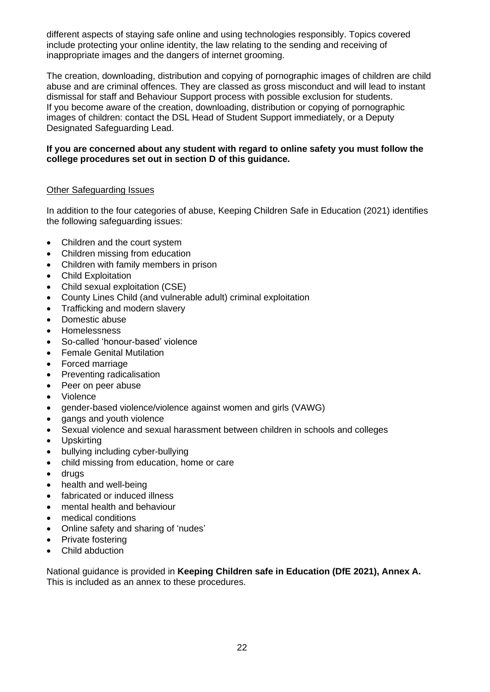different aspects of staying safe online and using technologies responsibly. Topics covered include protecting your online identity, the law relating to the sending and receiving of inappropriate images and the dangers of internet grooming.

The creation, downloading, distribution and copying of pornographic images of children are child abuse and are criminal offences. They are classed as gross misconduct and will lead to instant dismissal for staff and Behaviour Support process with possible exclusion for students. If you become aware of the creation, downloading, distribution or copying of pornographic images of children: contact the DSL Head of Student Support immediately, or a Deputy Designated Safeguarding Lead.

### **If you are concerned about any student with regard to online safety you must follow the college procedures set out in section D of this guidance.**

## <span id="page-21-0"></span>Other Safeguarding Issues

In addition to the four categories of abuse, Keeping Children Safe in Education (2021) identifies the following safeguarding issues:

- Children and the court system
- Children missing from education
- Children with family members in prison
- Child Exploitation
- Child sexual exploitation (CSE)
- County Lines Child (and vulnerable adult) criminal exploitation
- Trafficking and modern slavery
- Domestic abuse
- Homelessness
- So-called 'honour-based' violence
- Female Genital Mutilation
- Forced marriage
- Preventing radicalisation
- Peer on peer abuse
- Violence
- gender-based violence/violence against women and girls (VAWG)
- gangs and youth violence
- Sexual violence and sexual harassment between children in schools and colleges
- Upskirting
- bullying including cyber-bullying
- child missing from education, home or care
- drugs
- health and well-being
- fabricated or induced illness
- mental health and behaviour
- medical conditions
- Online safety and sharing of 'nudes'
- Private fostering
- Child abduction

National guidance is provided in **Keeping Children safe in Education (DfE 2021), Annex A.** This is included as an annex to these procedures.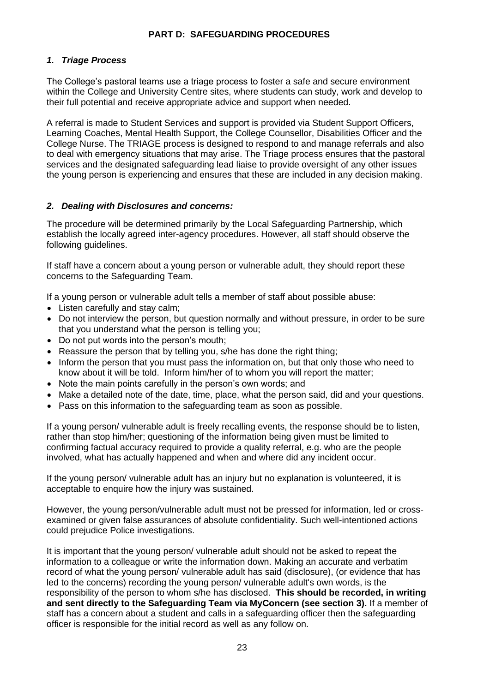## **PART D: SAFEGUARDING PROCEDURES**

## <span id="page-22-1"></span><span id="page-22-0"></span>*1. Triage Process*

The College's pastoral teams use a triage process to foster a safe and secure environment within the College and University Centre sites, where students can study, work and develop to their full potential and receive appropriate advice and support when needed.

A referral is made to Student Services and support is provided via Student Support Officers, Learning Coaches, Mental Health Support, the College Counsellor, Disabilities Officer and the College Nurse. The TRIAGE process is designed to respond to and manage referrals and also to deal with emergency situations that may arise. The Triage process ensures that the pastoral services and the designated safeguarding lead liaise to provide oversight of any other issues the young person is experiencing and ensures that these are included in any decision making.

## <span id="page-22-2"></span>*2. Dealing with Disclosures and concerns:*

The procedure will be determined primarily by the Local Safeguarding Partnership, which establish the locally agreed inter-agency procedures. However, all staff should observe the following guidelines.

If staff have a concern about a young person or vulnerable adult, they should report these concerns to the Safeguarding Team.

If a young person or vulnerable adult tells a member of staff about possible abuse:

- Listen carefully and stay calm;
- Do not interview the person, but question normally and without pressure, in order to be sure that you understand what the person is telling you;
- Do not put words into the person's mouth;
- Reassure the person that by telling you, s/he has done the right thing;
- Inform the person that you must pass the information on, but that only those who need to know about it will be told. Inform him/her of to whom you will report the matter;
- Note the main points carefully in the person's own words; and
- Make a detailed note of the date, time, place, what the person said, did and your questions.
- Pass on this information to the safeguarding team as soon as possible.

If a young person/ vulnerable adult is freely recalling events, the response should be to listen, rather than stop him/her; questioning of the information being given must be limited to confirming factual accuracy required to provide a quality referral, e.g. who are the people involved, what has actually happened and when and where did any incident occur.

If the young person/ vulnerable adult has an injury but no explanation is volunteered, it is acceptable to enquire how the injury was sustained.

However, the young person/vulnerable adult must not be pressed for information, led or crossexamined or given false assurances of absolute confidentiality. Such well-intentioned actions could prejudice Police investigations.

It is important that the young person/ vulnerable adult should not be asked to repeat the information to a colleague or write the information down. Making an accurate and verbatim record of what the young person/ vulnerable adult has said (disclosure), (or evidence that has led to the concerns) recording the young person/ vulnerable adult's own words, is the responsibility of the person to whom s/he has disclosed. **This should be recorded, in writing and sent directly to the Safeguarding Team via MyConcern (see section 3).** If a member of staff has a concern about a student and calls in a safeguarding officer then the safeguarding officer is responsible for the initial record as well as any follow on.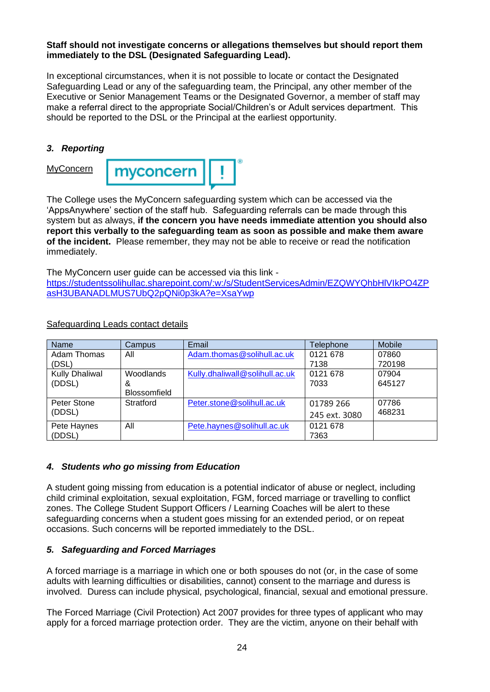### **Staff should not investigate concerns or allegations themselves but should report them immediately to the DSL (Designated Safeguarding Lead).**

In exceptional circumstances, when it is not possible to locate or contact the Designated Safeguarding Lead or any of the safeguarding team, the Principal, any other member of the Executive or Senior Management Teams or the Designated Governor, a member of staff may make a referral direct to the appropriate Social/Children's or Adult services department. This should be reported to the DSL or the Principal at the earliest opportunity.

## <span id="page-23-1"></span><span id="page-23-0"></span>*3. Reporting*

**MyConcern** 



The College uses the MyConcern safeguarding system which can be accessed via the 'AppsAnywhere' section of the staff hub. Safeguarding referrals can be made through this system but as always, **if the concern you have needs immediate attention you should also report this verbally to the safeguarding team as soon as possible and make them aware of the incident.** Please remember, they may not be able to receive or read the notification immediately.

The MyConcern user guide can be accessed via this link -

[https://studentssolihullac.sharepoint.com/:w:/s/StudentServicesAdmin/EZQWYQhbHlVIkPO4ZP](https://studentssolihullac.sharepoint.com/:w:/s/StudentServicesAdmin/EZQWYQhbHlVIkPO4ZPasH3UBANADLMUS7UbQ2pQNi0p3kA?e=XsaYwp) [asH3UBANADLMUS7UbQ2pQNi0p3kA?e=XsaYwp](https://studentssolihullac.sharepoint.com/:w:/s/StudentServicesAdmin/EZQWYQhbHlVIkPO4ZPasH3UBANADLMUS7UbQ2pQNi0p3kA?e=XsaYwp)

| Name                  | Campus              | Email                          | <b>Telephone</b> | Mobile |
|-----------------------|---------------------|--------------------------------|------------------|--------|
| Adam Thomas           | All                 | Adam.thomas@solihull.ac.uk     | 0121 678         | 07860  |
| (DSL)                 |                     |                                | 7138             | 720198 |
| <b>Kully Dhaliwal</b> | Woodlands           | Kully.dhaliwall@solihull.ac.uk | 0121 678         | 07904  |
| (DDSL)                | &                   |                                | 7033             | 645127 |
|                       | <b>Blossomfield</b> |                                |                  |        |
| Peter Stone           | Stratford           | Peter.stone@solihull.ac.uk     | 01789 266        | 07786  |
| (DDSL)                |                     |                                | 245 ext. 3080    | 468231 |
| Pete Haynes           | All                 | Pete.haynes@solihull.ac.uk     | 0121 678         |        |
| (DDSL)                |                     |                                | 7363             |        |

<span id="page-23-2"></span>Safeguarding Leads contact details

## <span id="page-23-3"></span>*4. Students who go missing from Education*

A student going missing from education is a potential indicator of abuse or neglect, including child criminal exploitation, sexual exploitation, FGM, forced marriage or travelling to conflict zones. The College Student Support Officers / Learning Coaches will be alert to these safeguarding concerns when a student goes missing for an extended period, or on repeat occasions. Such concerns will be reported immediately to the DSL.

## <span id="page-23-4"></span>*5. Safeguarding and Forced Marriages*

A forced marriage is a marriage in which one or both spouses do not (or, in the case of some adults with learning difficulties or disabilities, cannot) consent to the marriage and duress is involved. Duress can include physical, psychological, financial, sexual and emotional pressure.

The Forced Marriage (Civil Protection) Act 2007 provides for three types of applicant who may apply for a forced marriage protection order. They are the victim, anyone on their behalf with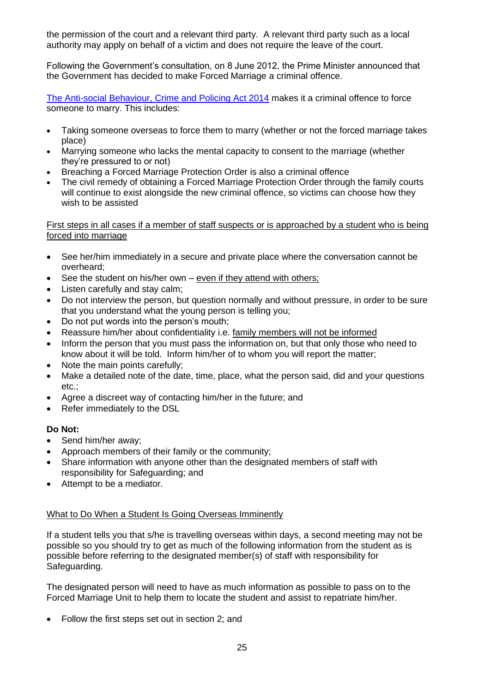the permission of the court and a relevant third party. A relevant third party such as a local authority may apply on behalf of a victim and does not require the leave of the court.

Following the Government's consultation, on 8 June 2012, the Prime Minister announced that the Government has decided to make Forced Marriage a criminal offence.

[The Anti-social Behaviour, Crime and Policing Act 2014](http://www.legislation.gov.uk/ukpga/2014/12/contents/enacted) makes it a criminal offence to force someone to marry. This includes:

- Taking someone overseas to force them to marry (whether or not the forced marriage takes place)
- Marrying someone who lacks the mental capacity to consent to the marriage (whether they're pressured to or not)
- Breaching a Forced Marriage Protection Order is also a criminal offence
- The civil remedy of obtaining a Forced Marriage Protection Order through the family courts will continue to exist alongside the new criminal offence, so victims can choose how they wish to be assisted

#### <span id="page-24-0"></span>First steps in all cases if a member of staff suspects or is approached by a student who is being forced into marriage

- See her/him immediately in a secure and private place where the conversation cannot be overheard;
- See the student on his/her own even if they attend with others;
- Listen carefully and stay calm;
- Do not interview the person, but question normally and without pressure, in order to be sure that you understand what the young person is telling you;
- Do not put words into the person's mouth;
- Reassure him/her about confidentiality i.e. family members will not be informed
- Inform the person that you must pass the information on, but that only those who need to know about it will be told. Inform him/her of to whom you will report the matter;
- Note the main points carefully:
- Make a detailed note of the date, time, place, what the person said, did and your questions etc.;
- Agree a discreet way of contacting him/her in the future; and
- Refer immediately to the DSL

## **Do Not:**

- Send him/her away;
- Approach members of their family or the community;
- Share information with anyone other than the designated members of staff with responsibility for Safeguarding; and
- Attempt to be a mediator.

## <span id="page-24-1"></span>What to Do When a Student Is Going Overseas Imminently

If a student tells you that s/he is travelling overseas within days, a second meeting may not be possible so you should try to get as much of the following information from the student as is possible before referring to the designated member(s) of staff with responsibility for Safeguarding.

The designated person will need to have as much information as possible to pass on to the Forced Marriage Unit to help them to locate the student and assist to repatriate him/her.

• Follow the first steps set out in section 2; and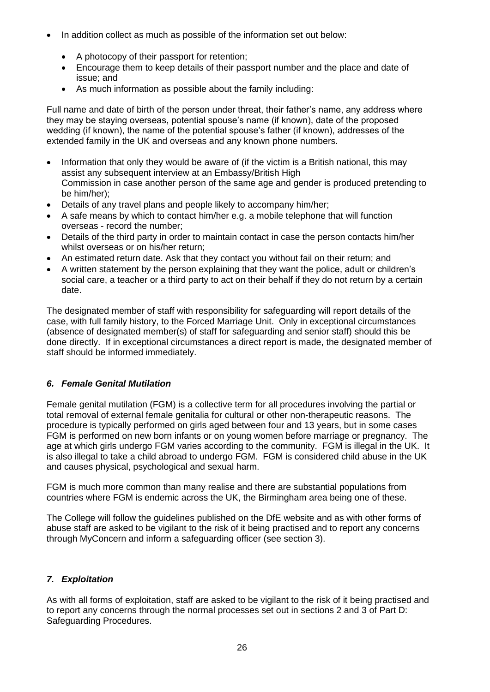- In addition collect as much as possible of the information set out below:
	- A photocopy of their passport for retention;
	- Encourage them to keep details of their passport number and the place and date of issue; and
	- As much information as possible about the family including:

Full name and date of birth of the person under threat, their father's name, any address where they may be staying overseas, potential spouse's name (if known), date of the proposed wedding (if known), the name of the potential spouse's father (if known), addresses of the extended family in the UK and overseas and any known phone numbers.

- Information that only they would be aware of (if the victim is a British national, this may assist any subsequent interview at an Embassy/British High Commission in case another person of the same age and gender is produced pretending to be him/her);
- Details of any travel plans and people likely to accompany him/her;
- A safe means by which to contact him/her e.g. a mobile telephone that will function overseas - record the number;
- Details of the third party in order to maintain contact in case the person contacts him/her whilst overseas or on his/her return;
- An estimated return date. Ask that they contact you without fail on their return; and
- A written statement by the person explaining that they want the police, adult or children's social care, a teacher or a third party to act on their behalf if they do not return by a certain date.

The designated member of staff with responsibility for safeguarding will report details of the case, with full family history, to the Forced Marriage Unit. Only in exceptional circumstances (absence of designated member(s) of staff for safeguarding and senior staff) should this be done directly. If in exceptional circumstances a direct report is made, the designated member of staff should be informed immediately.

## <span id="page-25-0"></span>*6. Female Genital Mutilation*

Female genital mutilation (FGM) is a collective term for all procedures involving the partial or total removal of external female genitalia for cultural or other non-therapeutic reasons. The procedure is typically performed on girls aged between four and 13 years, but in some cases FGM is performed on new born infants or on young women before marriage or pregnancy. The age at which girls undergo FGM varies according to the community. FGM is illegal in the UK. It is also illegal to take a child abroad to undergo FGM. FGM is considered child abuse in the UK and causes physical, psychological and sexual harm.

FGM is much more common than many realise and there are substantial populations from countries where FGM is endemic across the UK, the Birmingham area being one of these.

The College will follow the guidelines published on the DfE website and as with other forms of abuse staff are asked to be vigilant to the risk of it being practised and to report any concerns through MyConcern and inform a safeguarding officer (see section 3).

## <span id="page-25-1"></span>*7. Exploitation*

As with all forms of exploitation, staff are asked to be vigilant to the risk of it being practised and to report any concerns through the normal processes set out in sections 2 and 3 of Part D: Safeguarding Procedures.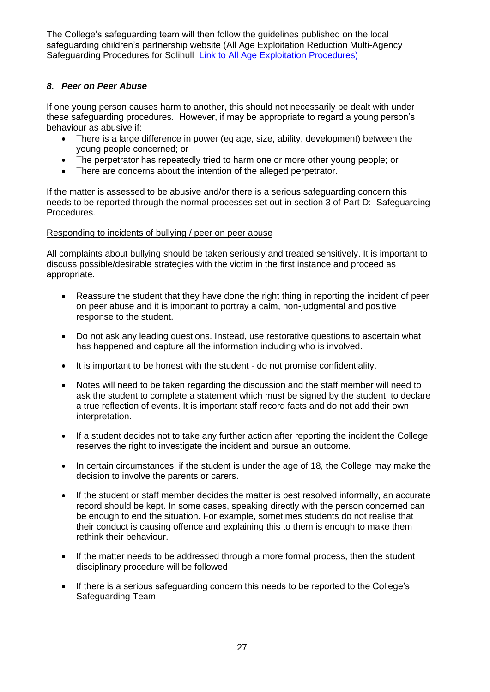The College's safeguarding team will then follow the guidelines published on the local safeguarding children's partnership website (All Age Exploitation Reduction Multi-Agency Safeguarding Procedures for Solihull **[Link to All Age Exploitation Procedures\)](https://westmidlands.procedures.org.uk/assets/clients/6/All%20Age%20Procedures%20v2.pdf)** 

## <span id="page-26-0"></span>*8. Peer on Peer Abuse*

If one young person causes harm to another, this should not necessarily be dealt with under these safeguarding procedures. However, if may be appropriate to regard a young person's behaviour as abusive if:

- There is a large difference in power (eg age, size, ability, development) between the young people concerned; or
- The perpetrator has repeatedly tried to harm one or more other young people; or
- There are concerns about the intention of the alleged perpetrator.

If the matter is assessed to be abusive and/or there is a serious safeguarding concern this needs to be reported through the normal processes set out in section 3 of Part D: Safeguarding Procedures.

## <span id="page-26-1"></span>Responding to incidents of bullying / peer on peer abuse

All complaints about bullying should be taken seriously and treated sensitively. It is important to discuss possible/desirable strategies with the victim in the first instance and proceed as appropriate.

- Reassure the student that they have done the right thing in reporting the incident of peer on peer abuse and it is important to portray a calm, non-judgmental and positive response to the student.
- Do not ask any leading questions. Instead, use restorative questions to ascertain what has happened and capture all the information including who is involved.
- It is important to be honest with the student do not promise confidentiality.
- Notes will need to be taken regarding the discussion and the staff member will need to ask the student to complete a statement which must be signed by the student, to declare a true reflection of events. It is important staff record facts and do not add their own interpretation.
- If a student decides not to take any further action after reporting the incident the College reserves the right to investigate the incident and pursue an outcome.
- In certain circumstances, if the student is under the age of 18, the College may make the decision to involve the parents or carers.
- If the student or staff member decides the matter is best resolved informally, an accurate record should be kept. In some cases, speaking directly with the person concerned can be enough to end the situation. For example, sometimes students do not realise that their conduct is causing offence and explaining this to them is enough to make them rethink their behaviour.
- If the matter needs to be addressed through a more formal process, then the student disciplinary procedure will be followed
- If there is a serious safeguarding concern this needs to be reported to the College's Safeguarding Team.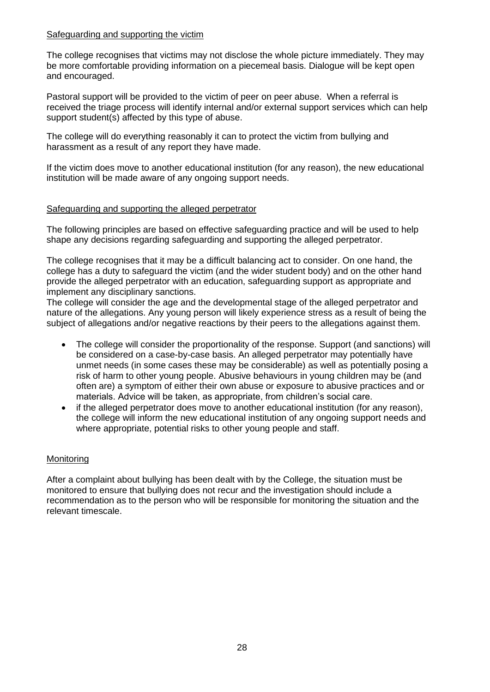### <span id="page-27-0"></span>Safeguarding and supporting the victim

The college recognises that victims may not disclose the whole picture immediately. They may be more comfortable providing information on a piecemeal basis. Dialogue will be kept open and encouraged.

Pastoral support will be provided to the victim of peer on peer abuse. When a referral is received the triage process will identify internal and/or external support services which can help support student(s) affected by this type of abuse.

The college will do everything reasonably it can to protect the victim from bullying and harassment as a result of any report they have made.

If the victim does move to another educational institution (for any reason), the new educational institution will be made aware of any ongoing support needs.

## <span id="page-27-1"></span>Safeguarding and supporting the alleged perpetrator

The following principles are based on effective safeguarding practice and will be used to help shape any decisions regarding safeguarding and supporting the alleged perpetrator.

The college recognises that it may be a difficult balancing act to consider. On one hand, the college has a duty to safeguard the victim (and the wider student body) and on the other hand provide the alleged perpetrator with an education, safeguarding support as appropriate and implement any disciplinary sanctions.

The college will consider the age and the developmental stage of the alleged perpetrator and nature of the allegations. Any young person will likely experience stress as a result of being the subject of allegations and/or negative reactions by their peers to the allegations against them.

- The college will consider the proportionality of the response. Support (and sanctions) will be considered on a case-by-case basis. An alleged perpetrator may potentially have unmet needs (in some cases these may be considerable) as well as potentially posing a risk of harm to other young people. Abusive behaviours in young children may be (and often are) a symptom of either their own abuse or exposure to abusive practices and or materials. Advice will be taken, as appropriate, from children's social care.
- if the alleged perpetrator does move to another educational institution (for any reason), the college will inform the new educational institution of any ongoing support needs and where appropriate, potential risks to other young people and staff.

## <span id="page-27-2"></span>**Monitoring**

After a complaint about bullying has been dealt with by the College, the situation must be monitored to ensure that bullying does not recur and the investigation should include a recommendation as to the person who will be responsible for monitoring the situation and the relevant timescale.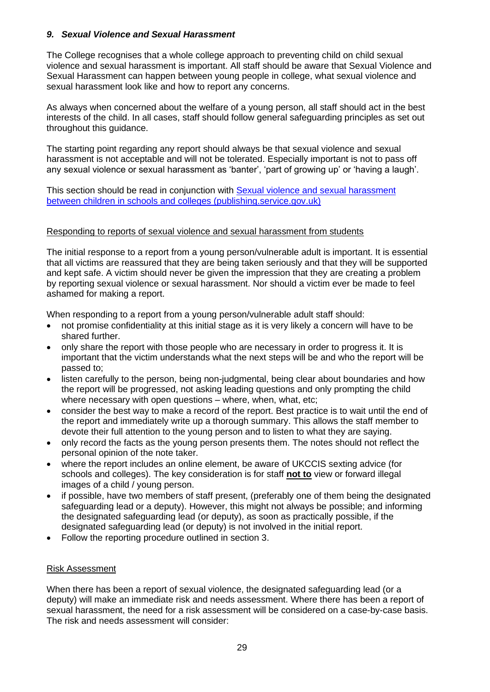## <span id="page-28-0"></span>*9. Sexual Violence and Sexual Harassment*

The College recognises that a whole college approach to preventing child on child sexual violence and sexual harassment is important. All staff should be aware that Sexual Violence and Sexual Harassment can happen between young people in college, what sexual violence and sexual harassment look like and how to report any concerns.

As always when concerned about the welfare of a young person, all staff should act in the best interests of the child. In all cases, staff should follow general safeguarding principles as set out throughout this guidance.

The starting point regarding any report should always be that sexual violence and sexual harassment is not acceptable and will not be tolerated. Especially important is not to pass off any sexual violence or sexual harassment as 'banter', 'part of growing up' or 'having a laugh'.

This section should be read in conjunction with Sexual violence and sexual harassment [between children in schools and colleges \(publishing.service.gov.uk\)](https://assets.publishing.service.gov.uk/government/uploads/system/uploads/attachment_data/file/999239/SVSH_2021.pdf)

#### <span id="page-28-1"></span>Responding to reports of sexual violence and sexual harassment from students

The initial response to a report from a young person/vulnerable adult is important. It is essential that all victims are reassured that they are being taken seriously and that they will be supported and kept safe. A victim should never be given the impression that they are creating a problem by reporting sexual violence or sexual harassment. Nor should a victim ever be made to feel ashamed for making a report.

When responding to a report from a young person/vulnerable adult staff should:

- not promise confidentiality at this initial stage as it is very likely a concern will have to be shared further.
- only share the report with those people who are necessary in order to progress it. It is important that the victim understands what the next steps will be and who the report will be passed to;
- listen carefully to the person, being non-judgmental, being clear about boundaries and how the report will be progressed, not asking leading questions and only prompting the child where necessary with open questions – where, when, what, etc;
- consider the best way to make a record of the report. Best practice is to wait until the end of the report and immediately write up a thorough summary. This allows the staff member to devote their full attention to the young person and to listen to what they are saying.
- only record the facts as the young person presents them. The notes should not reflect the personal opinion of the note taker.
- where the report includes an online element, be aware of UKCCIS sexting advice (for schools and colleges). The key consideration is for staff **not to** view or forward illegal images of a child / young person.
- if possible, have two members of staff present, (preferably one of them being the designated safeguarding lead or a deputy). However, this might not always be possible; and informing the designated safeguarding lead (or deputy), as soon as practically possible, if the designated safeguarding lead (or deputy) is not involved in the initial report.
- Follow the reporting procedure outlined in section 3.

## <span id="page-28-2"></span>Risk Assessment

When there has been a report of sexual violence, the designated safeguarding lead (or a deputy) will make an immediate risk and needs assessment. Where there has been a report of sexual harassment, the need for a risk assessment will be considered on a case-by-case basis. The risk and needs assessment will consider: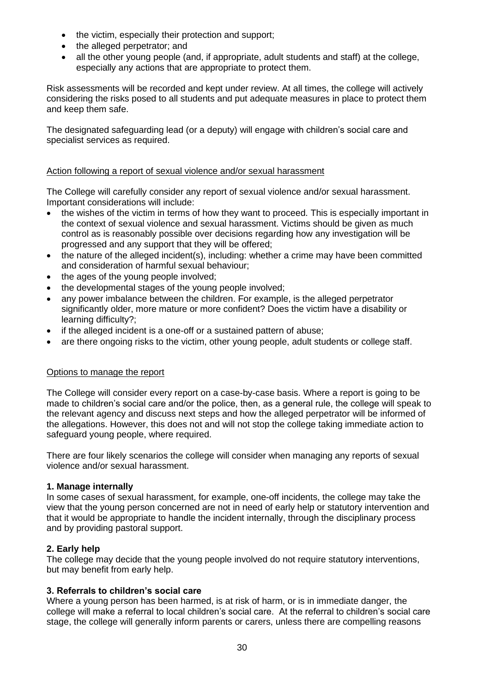- the victim, especially their protection and support;
- the alleged perpetrator; and
- all the other young people (and, if appropriate, adult students and staff) at the college, especially any actions that are appropriate to protect them.

Risk assessments will be recorded and kept under review. At all times, the college will actively considering the risks posed to all students and put adequate measures in place to protect them and keep them safe.

The designated safeguarding lead (or a deputy) will engage with children's social care and specialist services as required.

## <span id="page-29-0"></span>Action following a report of sexual violence and/or sexual harassment

The College will carefully consider any report of sexual violence and/or sexual harassment. Important considerations will include:

- the wishes of the victim in terms of how they want to proceed. This is especially important in the context of sexual violence and sexual harassment. Victims should be given as much control as is reasonably possible over decisions regarding how any investigation will be progressed and any support that they will be offered;
- the nature of the alleged incident(s), including: whether a crime may have been committed and consideration of harmful sexual behaviour;
- the ages of the young people involved:
- the developmental stages of the young people involved;
- any power imbalance between the children. For example, is the alleged perpetrator significantly older, more mature or more confident? Does the victim have a disability or learning difficulty?;
- if the alleged incident is a one-off or a sustained pattern of abuse;
- are there ongoing risks to the victim, other young people, adult students or college staff.

## <span id="page-29-1"></span>Options to manage the report

The College will consider every report on a case-by-case basis. Where a report is going to be made to children's social care and/or the police, then, as a general rule, the college will speak to the relevant agency and discuss next steps and how the alleged perpetrator will be informed of the allegations. However, this does not and will not stop the college taking immediate action to safeguard young people, where required.

There are four likely scenarios the college will consider when managing any reports of sexual violence and/or sexual harassment.

## **1. Manage internally**

In some cases of sexual harassment, for example, one-off incidents, the college may take the view that the young person concerned are not in need of early help or statutory intervention and that it would be appropriate to handle the incident internally, through the disciplinary process and by providing pastoral support.

## **2. Early help**

The college may decide that the young people involved do not require statutory interventions, but may benefit from early help.

## **3. Referrals to children's social care**

Where a young person has been harmed, is at risk of harm, or is in immediate danger, the college will make a referral to local children's social care. At the referral to children's social care stage, the college will generally inform parents or carers, unless there are compelling reasons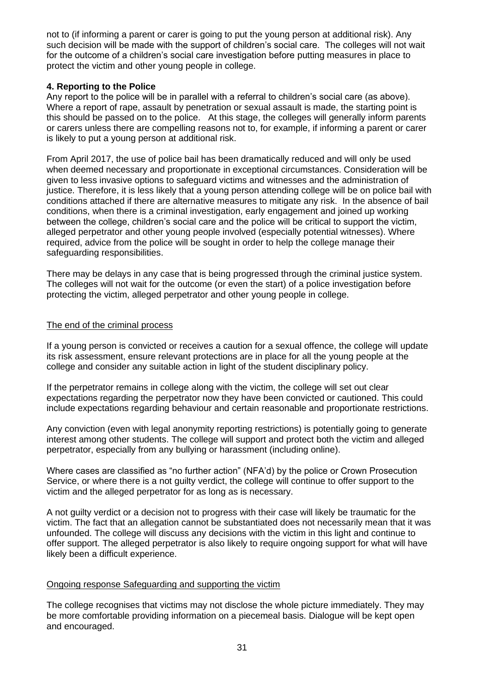not to (if informing a parent or carer is going to put the young person at additional risk). Any such decision will be made with the support of children's social care. The colleges will not wait for the outcome of a children's social care investigation before putting measures in place to protect the victim and other young people in college.

## **4. Reporting to the Police**

Any report to the police will be in parallel with a referral to children's social care (as above). Where a report of rape, assault by penetration or sexual assault is made, the starting point is this should be passed on to the police. At this stage, the colleges will generally inform parents or carers unless there are compelling reasons not to, for example, if informing a parent or carer is likely to put a young person at additional risk.

From April 2017, the use of police bail has been dramatically reduced and will only be used when deemed necessary and proportionate in exceptional circumstances. Consideration will be given to less invasive options to safeguard victims and witnesses and the administration of justice. Therefore, it is less likely that a young person attending college will be on police bail with conditions attached if there are alternative measures to mitigate any risk. In the absence of bail conditions, when there is a criminal investigation, early engagement and joined up working between the college, children's social care and the police will be critical to support the victim, alleged perpetrator and other young people involved (especially potential witnesses). Where required, advice from the police will be sought in order to help the college manage their safeguarding responsibilities.

There may be delays in any case that is being progressed through the criminal justice system. The colleges will not wait for the outcome (or even the start) of a police investigation before protecting the victim, alleged perpetrator and other young people in college.

## <span id="page-30-0"></span>The end of the criminal process

If a young person is convicted or receives a caution for a sexual offence, the college will update its risk assessment, ensure relevant protections are in place for all the young people at the college and consider any suitable action in light of the student disciplinary policy.

If the perpetrator remains in college along with the victim, the college will set out clear expectations regarding the perpetrator now they have been convicted or cautioned. This could include expectations regarding behaviour and certain reasonable and proportionate restrictions.

Any conviction (even with legal anonymity reporting restrictions) is potentially going to generate interest among other students. The college will support and protect both the victim and alleged perpetrator, especially from any bullying or harassment (including online).

Where cases are classified as "no further action" (NFA'd) by the police or Crown Prosecution Service, or where there is a not guilty verdict, the college will continue to offer support to the victim and the alleged perpetrator for as long as is necessary.

A not guilty verdict or a decision not to progress with their case will likely be traumatic for the victim. The fact that an allegation cannot be substantiated does not necessarily mean that it was unfounded. The college will discuss any decisions with the victim in this light and continue to offer support. The alleged perpetrator is also likely to require ongoing support for what will have likely been a difficult experience.

## <span id="page-30-1"></span>Ongoing response Safeguarding and supporting the victim

The college recognises that victims may not disclose the whole picture immediately. They may be more comfortable providing information on a piecemeal basis. Dialogue will be kept open and encouraged.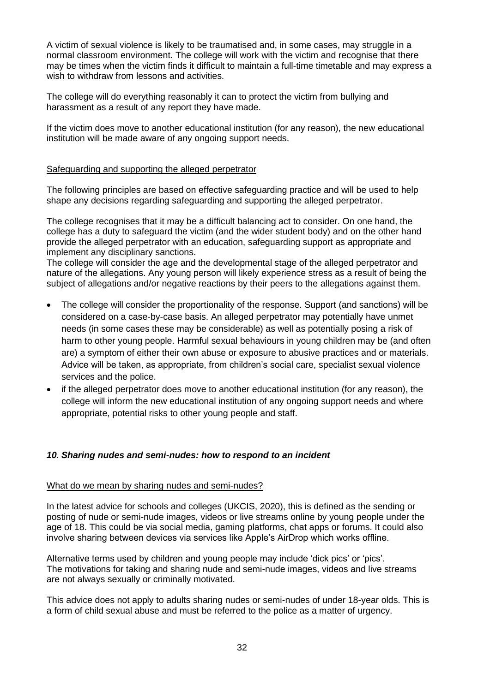A victim of sexual violence is likely to be traumatised and, in some cases, may struggle in a normal classroom environment. The college will work with the victim and recognise that there may be times when the victim finds it difficult to maintain a full-time timetable and may express a wish to withdraw from lessons and activities.

The college will do everything reasonably it can to protect the victim from bullying and harassment as a result of any report they have made.

If the victim does move to another educational institution (for any reason), the new educational institution will be made aware of any ongoing support needs.

## <span id="page-31-0"></span>Safeguarding and supporting the alleged perpetrator

The following principles are based on effective safeguarding practice and will be used to help shape any decisions regarding safeguarding and supporting the alleged perpetrator.

The college recognises that it may be a difficult balancing act to consider. On one hand, the college has a duty to safeguard the victim (and the wider student body) and on the other hand provide the alleged perpetrator with an education, safeguarding support as appropriate and implement any disciplinary sanctions.

The college will consider the age and the developmental stage of the alleged perpetrator and nature of the allegations. Any young person will likely experience stress as a result of being the subject of allegations and/or negative reactions by their peers to the allegations against them.

- The college will consider the proportionality of the response. Support (and sanctions) will be considered on a case-by-case basis. An alleged perpetrator may potentially have unmet needs (in some cases these may be considerable) as well as potentially posing a risk of harm to other young people. Harmful sexual behaviours in young children may be (and often are) a symptom of either their own abuse or exposure to abusive practices and or materials. Advice will be taken, as appropriate, from children's social care, specialist sexual violence services and the police.
- if the alleged perpetrator does move to another educational institution (for any reason), the college will inform the new educational institution of any ongoing support needs and where appropriate, potential risks to other young people and staff.

## <span id="page-31-1"></span>*10. Sharing nudes and semi-nudes: how to respond to an incident*

## <span id="page-31-2"></span>What do we mean by sharing nudes and semi-nudes?

In the latest advice for schools and colleges (UKCIS, 2020), this is defined as the sending or posting of nude or semi-nude images, videos or live streams online by young people under the age of 18. This could be via social media, gaming platforms, chat apps or forums. It could also involve sharing between devices via services like Apple's AirDrop which works offline.

Alternative terms used by children and young people may include 'dick pics' or 'pics'. The motivations for taking and sharing nude and semi-nude images, videos and live streams are not always sexually or criminally motivated.

This advice does not apply to adults sharing nudes or semi-nudes of under 18-year olds. This is a form of child sexual abuse and must be referred to the police as a matter of urgency.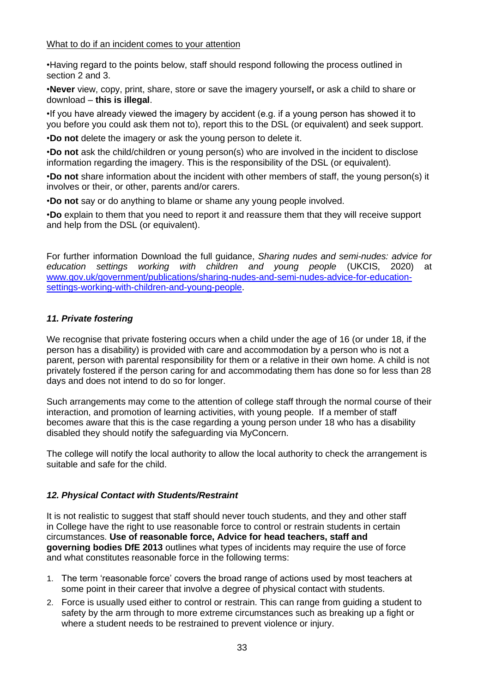## <span id="page-32-0"></span>What to do if an incident comes to your attention

•Having regard to the points below, staff should respond following the process outlined in section 2 and 3.

•**Never** view, copy, print, share, store or save the imagery yourself**,** or ask a child to share or download – **this is illegal**.

•If you have already viewed the imagery by accident (e.g. if a young person has showed it to you before you could ask them not to), report this to the DSL (or equivalent) and seek support.

•**Do not** delete the imagery or ask the young person to delete it.

•**Do not** ask the child/children or young person(s) who are involved in the incident to disclose information regarding the imagery. This is the responsibility of the DSL (or equivalent).

•**Do not** share information about the incident with other members of staff, the young person(s) it involves or their, or other, parents and/or carers.

•**Do not** say or do anything to blame or shame any young people involved.

•**Do** explain to them that you need to report it and reassure them that they will receive support and help from the DSL (or equivalent).

For further information Download the full guidance, *Sharing nudes and semi-nudes: advice for education settings working with children and young people* (UKCIS, 2020) at [www.gov.uk/government/publications/sharing-nudes-and-semi-nudes-advice-for-education](http://www.gov.uk/government/publications/sharing-nudes-and-semi-nudes-advice-for-education-settings-working-with-children-and-young-people)[settings-working-with-children-and-young-people.](http://www.gov.uk/government/publications/sharing-nudes-and-semi-nudes-advice-for-education-settings-working-with-children-and-young-people)

## <span id="page-32-1"></span>*11. Private fostering*

We recognise that private fostering occurs when a child under the age of 16 (or under 18, if the person has a disability) is provided with care and accommodation by a person who is not a parent, person with parental responsibility for them or a relative in their own home. A child is not privately fostered if the person caring for and accommodating them has done so for less than 28 days and does not intend to do so for longer.

Such arrangements may come to the attention of college staff through the normal course of their interaction, and promotion of learning activities, with young people. If a member of staff becomes aware that this is the case regarding a young person under 18 who has a disability disabled they should notify the safeguarding via MyConcern.

The college will notify the local authority to allow the local authority to check the arrangement is suitable and safe for the child.

## <span id="page-32-2"></span>*12. Physical Contact with Students/Restraint*

It is not realistic to suggest that staff should never touch students, and they and other staff in College have the right to use reasonable force to control or restrain students in certain circumstances. **Use of reasonable force, Advice for head teachers, staff and governing bodies DfE 2013** outlines what types of incidents may require the use of force and what constitutes reasonable force in the following terms:

- 1. The term 'reasonable force' covers the broad range of actions used by most teachers at some point in their career that involve a degree of physical contact with students.
- 2. Force is usually used either to control or restrain. This can range from guiding a student to safety by the arm through to more extreme circumstances such as breaking up a fight or where a student needs to be restrained to prevent violence or injury.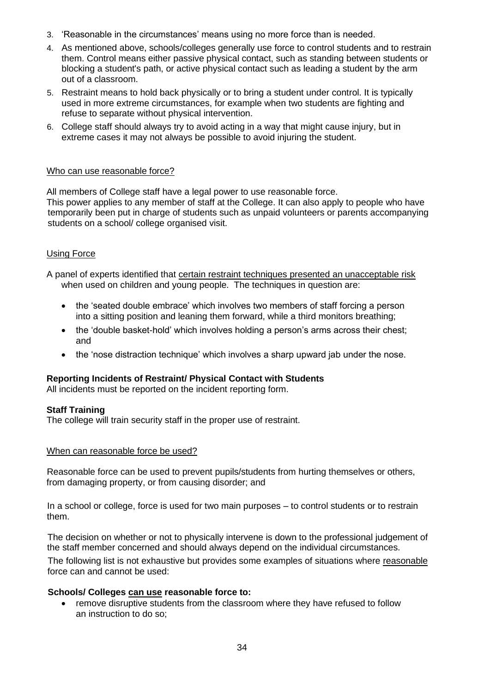- 3. 'Reasonable in the circumstances' means using no more force than is needed.
- 4. As mentioned above, schools/colleges generally use force to control students and to restrain them. Control means either passive physical contact, such as standing between students or blocking a student's path, or active physical contact such as leading a student by the arm out of a classroom.
- 5. Restraint means to hold back physically or to bring a student under control. It is typically used in more extreme circumstances, for example when two students are fighting and refuse to separate without physical intervention.
- 6. College staff should always try to avoid acting in a way that might cause injury, but in extreme cases it may not always be possible to avoid injuring the student.

### <span id="page-33-0"></span>Who can use reasonable force?

All members of College staff have a legal power to use reasonable force. This power applies to any member of staff at the College. It can also apply to people who have temporarily been put in charge of students such as unpaid volunteers or parents accompanying students on a school/ college organised visit.

## <span id="page-33-1"></span>Using Force

A panel of experts identified that certain restraint techniques presented an unacceptable risk when used on children and young people. The techniques in question are:

- the 'seated double embrace' which involves two members of staff forcing a person into a sitting position and leaning them forward, while a third monitors breathing;
- the 'double basket-hold' which involves holding a person's arms across their chest; and
- the 'nose distraction technique' which involves a sharp upward jab under the nose.

#### **Reporting Incidents of Restraint/ Physical Contact with Students**

All incidents must be reported on the incident reporting form.

#### **Staff Training**

The college will train security staff in the proper use of restraint.

#### <span id="page-33-2"></span>When can reasonable force be used?

Reasonable force can be used to prevent pupils/students from hurting themselves or others, from damaging property, or from causing disorder; and

In a school or college, force is used for two main purposes – to control students or to restrain them.

The decision on whether or not to physically intervene is down to the professional judgement of the staff member concerned and should always depend on the individual circumstances.

The following list is not exhaustive but provides some examples of situations where reasonable force can and cannot be used:

#### **Schools/ Colleges can use reasonable force to:**

• remove disruptive students from the classroom where they have refused to follow an instruction to do so;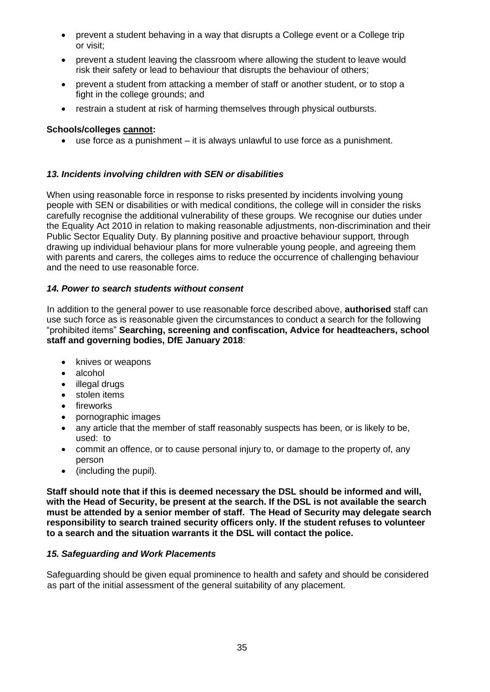- prevent a student behaving in a way that disrupts a College event or a College trip or visit;
- prevent a student leaving the classroom where allowing the student to leave would risk their safety or lead to behaviour that disrupts the behaviour of others;
- prevent a student from attacking a member of staff or another student, or to stop a fight in the college grounds; and
- restrain a student at risk of harming themselves through physical outbursts.

## **Schools/colleges cannot:**

• use force as a punishment – it is always unlawful to use force as a punishment.

## <span id="page-34-0"></span>*13. Incidents involving children with SEN or disabilities*

When using reasonable force in response to risks presented by incidents involving young people with SEN or disabilities or with medical conditions, the college will in consider the risks carefully recognise the additional vulnerability of these groups. We recognise our duties under the Equality Act 2010 in relation to making reasonable adjustments, non-discrimination and their Public Sector Equality Duty. By planning positive and proactive behaviour support, through drawing up individual behaviour plans for more vulnerable young people, and agreeing them with parents and carers, the colleges aims to reduce the occurrence of challenging behaviour and the need to use reasonable force.

## <span id="page-34-1"></span>*14. Power to search students without consent*

In addition to the general power to use reasonable force described above, **authorised** staff can use such force as is reasonable given the circumstances to conduct a search for the following "prohibited items" **Searching, screening and confiscation, Advice for headteachers, school staff and governing bodies, DfE January 2018**:

- knives or weapons
- alcohol
- illegal drugs
- stolen items
- fireworks
- pornographic images
- any article that the member of staff reasonably suspects has been, or is likely to be, used: to
- commit an offence, or to cause personal injury to, or damage to the property of, any person
- (including the pupil).

**Staff should note that if this is deemed necessary the DSL should be informed and will, with the Head of Security, be present at the search. If the DSL is not available the search must be attended by a senior member of staff. The Head of Security may delegate search responsibility to search trained security officers only. If the student refuses to volunteer to a search and the situation warrants it the DSL will contact the police.**

## <span id="page-34-2"></span>*15. Safeguarding and Work Placements*

Safeguarding should be given equal prominence to health and safety and should be considered as part of the initial assessment of the general suitability of any placement.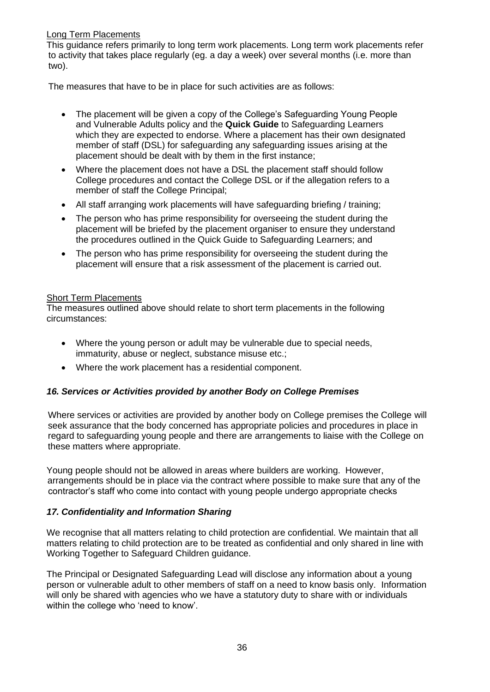## <span id="page-35-0"></span>Long Term Placements

This guidance refers primarily to long term work placements. Long term work placements refer to activity that takes place regularly (eg. a day a week) over several months (i.e. more than two).

The measures that have to be in place for such activities are as follows:

- The placement will be given a copy of the College's Safeguarding Young People and Vulnerable Adults policy and the **Quick Guide** to Safeguarding Learners which they are expected to endorse. Where a placement has their own designated member of staff (DSL) for safeguarding any safeguarding issues arising at the placement should be dealt with by them in the first instance;
- Where the placement does not have a DSL the placement staff should follow College procedures and contact the College DSL or if the allegation refers to a member of staff the College Principal;
- All staff arranging work placements will have safeguarding briefing / training:
- The person who has prime responsibility for overseeing the student during the placement will be briefed by the placement organiser to ensure they understand the procedures outlined in the Quick Guide to Safeguarding Learners; and
- The person who has prime responsibility for overseeing the student during the placement will ensure that a risk assessment of the placement is carried out.

## <span id="page-35-1"></span>Short Term Placements

The measures outlined above should relate to short term placements in the following circumstances:

- Where the young person or adult may be vulnerable due to special needs, immaturity, abuse or neglect, substance misuse etc.;
- Where the work placement has a residential component.

## <span id="page-35-2"></span>*16. Services or Activities provided by another Body on College Premises*

Where services or activities are provided by another body on College premises the College will seek assurance that the body concerned has appropriate policies and procedures in place in regard to safeguarding young people and there are arrangements to liaise with the College on these matters where appropriate.

Young people should not be allowed in areas where builders are working. However, arrangements should be in place via the contract where possible to make sure that any of the contractor's staff who come into contact with young people undergo appropriate checks

## <span id="page-35-3"></span>*17. Confidentiality and Information Sharing*

We recognise that all matters relating to child protection are confidential. We maintain that all matters relating to child protection are to be treated as confidential and only shared in line with Working Together to Safeguard Children guidance.

The Principal or Designated Safeguarding Lead will disclose any information about a young person or vulnerable adult to other members of staff on a need to know basis only. Information will only be shared with agencies who we have a statutory duty to share with or individuals within the college who 'need to know'.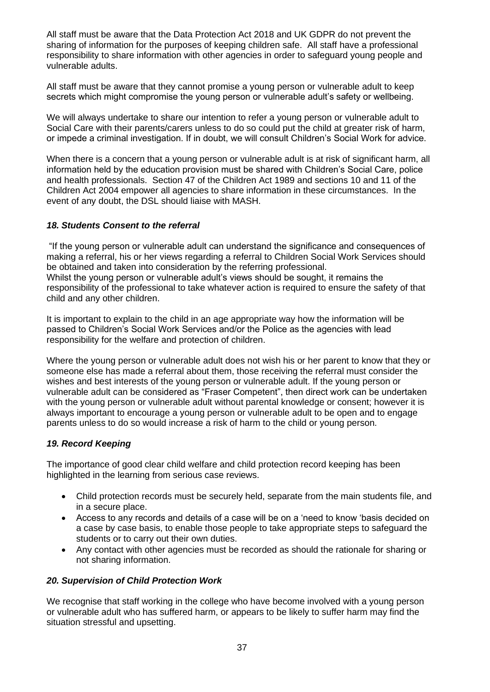All staff must be aware that the Data Protection Act 2018 and UK GDPR do not prevent the sharing of information for the purposes of keeping children safe. All staff have a professional responsibility to share information with other agencies in order to safeguard young people and vulnerable adults.

All staff must be aware that they cannot promise a young person or vulnerable adult to keep secrets which might compromise the young person or vulnerable adult's safety or wellbeing.

We will always undertake to share our intention to refer a young person or vulnerable adult to Social Care with their parents/carers unless to do so could put the child at greater risk of harm, or impede a criminal investigation. If in doubt, we will consult Children's Social Work for advice.

When there is a concern that a young person or vulnerable adult is at risk of significant harm, all information held by the education provision must be shared with Children's Social Care, police and health professionals. Section 47 of the Children Act 1989 and sections 10 and 11 of the Children Act 2004 empower all agencies to share information in these circumstances. In the event of any doubt, the DSL should liaise with MASH.

## <span id="page-36-0"></span>*18. Students Consent to the referral*

"If the young person or vulnerable adult can understand the significance and consequences of making a referral, his or her views regarding a referral to Children Social Work Services should be obtained and taken into consideration by the referring professional. Whilst the young person or vulnerable adult's views should be sought, it remains the responsibility of the professional to take whatever action is required to ensure the safety of that child and any other children.

It is important to explain to the child in an age appropriate way how the information will be passed to Children's Social Work Services and/or the Police as the agencies with lead responsibility for the welfare and protection of children.

Where the young person or vulnerable adult does not wish his or her parent to know that they or someone else has made a referral about them, those receiving the referral must consider the wishes and best interests of the young person or vulnerable adult. If the young person or vulnerable adult can be considered as "Fraser Competent", then direct work can be undertaken with the young person or vulnerable adult without parental knowledge or consent; however it is always important to encourage a young person or vulnerable adult to be open and to engage parents unless to do so would increase a risk of harm to the child or young person.

## <span id="page-36-1"></span>*19. Record Keeping*

The importance of good clear child welfare and child protection record keeping has been highlighted in the learning from serious case reviews.

- Child protection records must be securely held, separate from the main students file, and in a secure place.
- Access to any records and details of a case will be on a 'need to know 'basis decided on a case by case basis, to enable those people to take appropriate steps to safeguard the students or to carry out their own duties.
- Any contact with other agencies must be recorded as should the rationale for sharing or not sharing information.

## <span id="page-36-2"></span>*20. Supervision of Child Protection Work*

We recognise that staff working in the college who have become involved with a young person or vulnerable adult who has suffered harm, or appears to be likely to suffer harm may find the situation stressful and upsetting.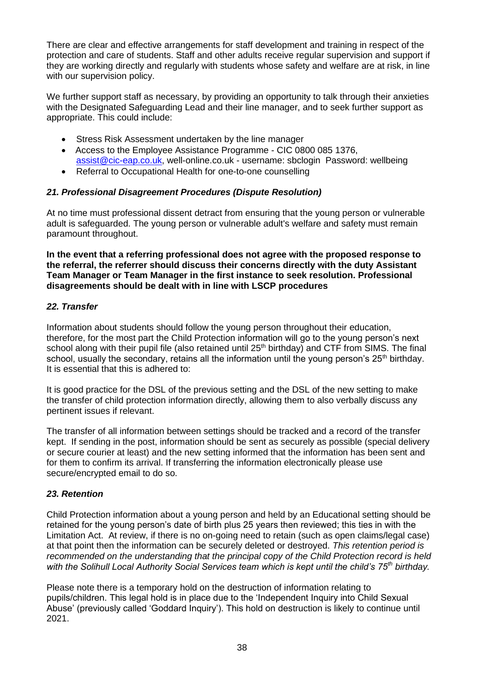There are clear and effective arrangements for staff development and training in respect of the protection and care of students. Staff and other adults receive regular supervision and support if they are working directly and regularly with students whose safety and welfare are at risk, in line with our supervision policy.

We further support staff as necessary, by providing an opportunity to talk through their anxieties with the Designated Safeguarding Lead and their line manager, and to seek further support as appropriate. This could include:

- Stress Risk Assessment undertaken by the line manager
- Access to the Employee Assistance Programme CIC 0800 085 1376, [assist@cic-eap.co.uk,](mailto:assist@cic-eap.co.uk) well-online.co.uk - username: sbclogin Password: wellbeing
- Referral to Occupational Health for one-to-one counselling

## <span id="page-37-0"></span>*21. Professional Disagreement Procedures (Dispute Resolution)*

At no time must professional dissent detract from ensuring that the young person or vulnerable adult is safeguarded. The young person or vulnerable adult's welfare and safety must remain paramount throughout.

**In the event that a referring professional does not agree with the proposed response to the referral, the referrer should discuss their concerns directly with the duty Assistant Team Manager or Team Manager in the first instance to seek resolution. Professional disagreements should be dealt with in line with LSCP procedures** 

## <span id="page-37-1"></span>*22. Transfer*

Information about students should follow the young person throughout their education, therefore, for the most part the Child Protection information will go to the young person's next school along with their pupil file (also retained until 25<sup>th</sup> birthday) and CTF from SIMS. The final school, usually the secondary, retains all the information until the young person's 25<sup>th</sup> birthday. It is essential that this is adhered to:

It is good practice for the DSL of the previous setting and the DSL of the new setting to make the transfer of child protection information directly, allowing them to also verbally discuss any pertinent issues if relevant.

The transfer of all information between settings should be tracked and a record of the transfer kept. If sending in the post, information should be sent as securely as possible (special delivery or secure courier at least) and the new setting informed that the information has been sent and for them to confirm its arrival. If transferring the information electronically please use secure/encrypted email to do so.

## <span id="page-37-2"></span>*23. Retention*

Child Protection information about a young person and held by an Educational setting should be retained for the young person's date of birth plus 25 years then reviewed; this ties in with the Limitation Act. At review, if there is no on-going need to retain (such as open claims/legal case) at that point then the information can be securely deleted or destroyed. *This retention period is recommended on the understanding that the principal copy of the Child Protection record is held with the Solihull Local Authority Social Services team which is kept until the child's 75th birthday.*

Please note there is a temporary hold on the destruction of information relating to pupils/children. This legal hold is in place due to the 'Independent Inquiry into Child Sexual Abuse' (previously called 'Goddard Inquiry'). This hold on destruction is likely to continue until 2021.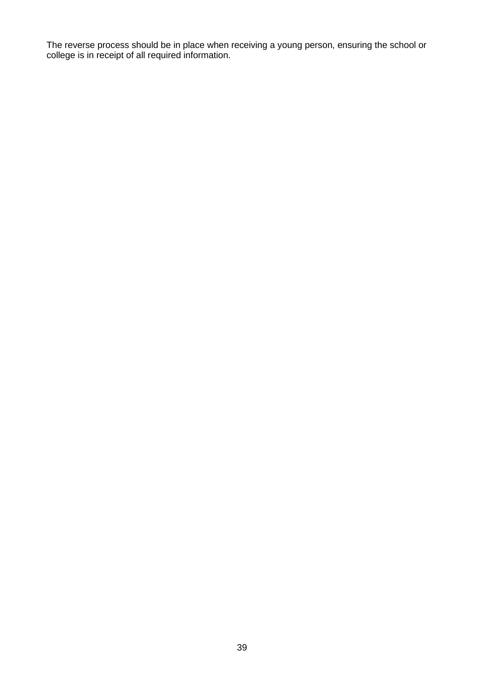The reverse process should be in place when receiving a young person, ensuring the school or college is in receipt of all required information.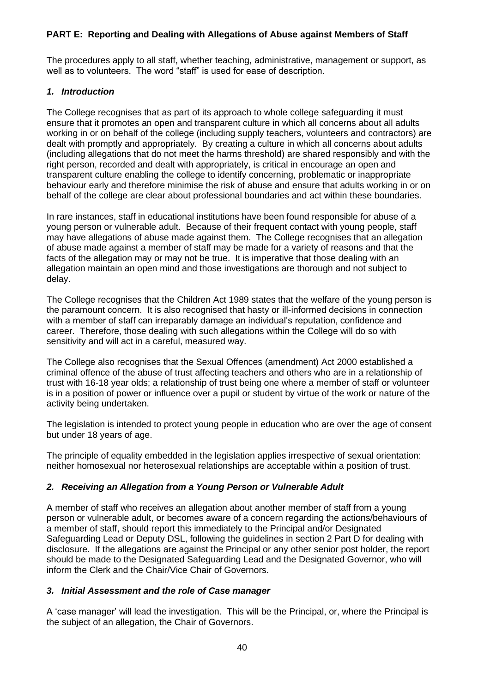## <span id="page-39-0"></span>**PART E: Reporting and Dealing with Allegations of Abuse against Members of Staff**

The procedures apply to all staff, whether teaching, administrative, management or support, as well as to volunteers. The word "staff" is used for ease of description.

## <span id="page-39-1"></span>*1. Introduction*

The College recognises that as part of its approach to whole college safeguarding it must ensure that it promotes an open and transparent culture in which all concerns about all adults working in or on behalf of the college (including supply teachers, volunteers and contractors) are dealt with promptly and appropriately. By creating a culture in which all concerns about adults (including allegations that do not meet the harms threshold) are shared responsibly and with the right person, recorded and dealt with appropriately, is critical in encourage an open and transparent culture enabling the college to identify concerning, problematic or inappropriate behaviour early and therefore minimise the risk of abuse and ensure that adults working in or on behalf of the college are clear about professional boundaries and act within these boundaries.

In rare instances, staff in educational institutions have been found responsible for abuse of a young person or vulnerable adult. Because of their frequent contact with young people, staff may have allegations of abuse made against them. The College recognises that an allegation of abuse made against a member of staff may be made for a variety of reasons and that the facts of the allegation may or may not be true. It is imperative that those dealing with an allegation maintain an open mind and those investigations are thorough and not subject to delay.

The College recognises that the Children Act 1989 states that the welfare of the young person is the paramount concern. It is also recognised that hasty or ill-informed decisions in connection with a member of staff can irreparably damage an individual's reputation, confidence and career. Therefore, those dealing with such allegations within the College will do so with sensitivity and will act in a careful, measured way.

The College also recognises that the Sexual Offences (amendment) Act 2000 established a criminal offence of the abuse of trust affecting teachers and others who are in a relationship of trust with 16-18 year olds; a relationship of trust being one where a member of staff or volunteer is in a position of power or influence over a pupil or student by virtue of the work or nature of the activity being undertaken.

The legislation is intended to protect young people in education who are over the age of consent but under 18 years of age.

The principle of equality embedded in the legislation applies irrespective of sexual orientation: neither homosexual nor heterosexual relationships are acceptable within a position of trust.

## <span id="page-39-2"></span>*2. Receiving an Allegation from a Young Person or Vulnerable Adult*

A member of staff who receives an allegation about another member of staff from a young person or vulnerable adult, or becomes aware of a concern regarding the actions/behaviours of a member of staff, should report this immediately to the Principal and/or Designated Safeguarding Lead or Deputy DSL, following the guidelines in section 2 Part D for dealing with disclosure. If the allegations are against the Principal or any other senior post holder, the report should be made to the Designated Safeguarding Lead and the Designated Governor, who will inform the Clerk and the Chair/Vice Chair of Governors.

## <span id="page-39-3"></span>*3. Initial Assessment and the role of Case manager*

A 'case manager' will lead the investigation. This will be the Principal, or, where the Principal is the subject of an allegation, the Chair of Governors.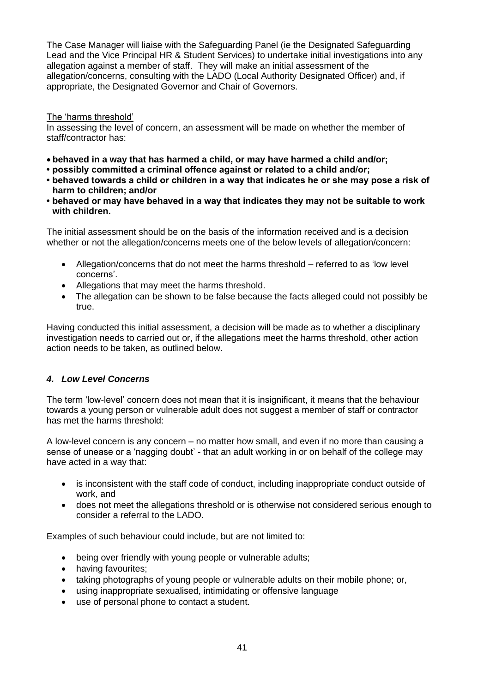The Case Manager will liaise with the Safeguarding Panel (ie the Designated Safeguarding Lead and the Vice Principal HR & Student Services) to undertake initial investigations into any allegation against a member of staff. They will make an initial assessment of the allegation/concerns, consulting with the LADO (Local Authority Designated Officer) and, if appropriate, the Designated Governor and Chair of Governors.

## <span id="page-40-0"></span>The 'harms threshold'

In assessing the level of concern, an assessment will be made on whether the member of staff/contractor has:

- **behaved in a way that has harmed a child, or may have harmed a child and/or;**
- **possibly committed a criminal offence against or related to a child and/or;**
- **behaved towards a child or children in a way that indicates he or she may pose a risk of harm to children; and/or**
- **behaved or may have behaved in a way that indicates they may not be suitable to work with children.**

The initial assessment should be on the basis of the information received and is a decision whether or not the allegation/concerns meets one of the below levels of allegation/concern:

- Allegation/concerns that do not meet the harms threshold referred to as 'low level concerns'.
- Allegations that may meet the harms threshold.
- The allegation can be shown to be false because the facts alleged could not possibly be true.

Having conducted this initial assessment, a decision will be made as to whether a disciplinary investigation needs to carried out or, if the allegations meet the harms threshold, other action action needs to be taken, as outlined below.

## <span id="page-40-1"></span>*4. Low Level Concerns*

The term 'low-level' concern does not mean that it is insignificant, it means that the behaviour towards a young person or vulnerable adult does not suggest a member of staff or contractor has met the harms threshold:

A low-level concern is any concern – no matter how small, and even if no more than causing a sense of unease or a 'nagging doubt' - that an adult working in or on behalf of the college may have acted in a way that:

- is inconsistent with the staff code of conduct, including inappropriate conduct outside of work, and
- does not meet the allegations threshold or is otherwise not considered serious enough to consider a referral to the LADO.

Examples of such behaviour could include, but are not limited to:

- being over friendly with young people or vulnerable adults;
- having favourites;
- taking photographs of young people or vulnerable adults on their mobile phone; or,
- using inappropriate sexualised, intimidating or offensive language
- use of personal phone to contact a student.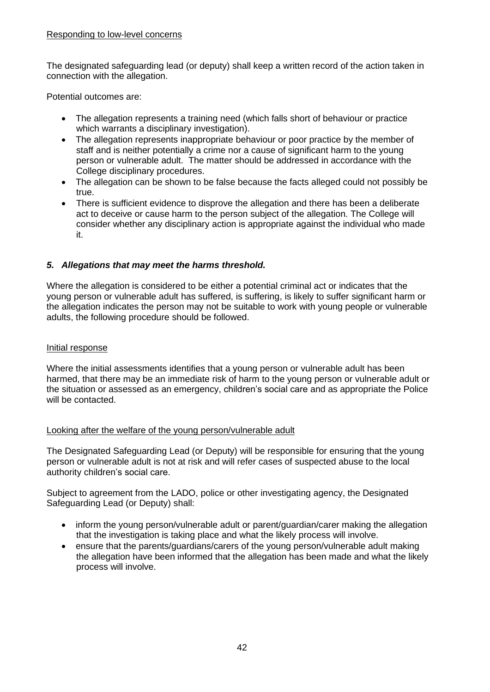### <span id="page-41-0"></span>Responding to low-level concerns

The designated safeguarding lead (or deputy) shall keep a written record of the action taken in connection with the allegation.

Potential outcomes are:

- The allegation represents a training need (which falls short of behaviour or practice which warrants a disciplinary investigation).
- The allegation represents inappropriate behaviour or poor practice by the member of staff and is neither potentially a crime nor a cause of significant harm to the young person or vulnerable adult. The matter should be addressed in accordance with the College disciplinary procedures.
- The allegation can be shown to be false because the facts alleged could not possibly be true.
- There is sufficient evidence to disprove the allegation and there has been a deliberate act to deceive or cause harm to the person subject of the allegation. The College will consider whether any disciplinary action is appropriate against the individual who made it.

## <span id="page-41-1"></span>*5. Allegations that may meet the harms threshold.*

Where the allegation is considered to be either a potential criminal act or indicates that the young person or vulnerable adult has suffered, is suffering, is likely to suffer significant harm or the allegation indicates the person may not be suitable to work with young people or vulnerable adults, the following procedure should be followed.

## <span id="page-41-2"></span>Initial response

Where the initial assessments identifies that a young person or vulnerable adult has been harmed, that there may be an immediate risk of harm to the young person or vulnerable adult or the situation or assessed as an emergency, children's social care and as appropriate the Police will be contacted.

## <span id="page-41-3"></span>Looking after the welfare of the young person/vulnerable adult

The Designated Safeguarding Lead (or Deputy) will be responsible for ensuring that the young person or vulnerable adult is not at risk and will refer cases of suspected abuse to the local authority children's social care.

Subject to agreement from the LADO, police or other investigating agency, the Designated Safeguarding Lead (or Deputy) shall:

- inform the young person/vulnerable adult or parent/guardian/carer making the allegation that the investigation is taking place and what the likely process will involve.
- ensure that the parents/quardians/carers of the young person/vulnerable adult making the allegation have been informed that the allegation has been made and what the likely process will involve.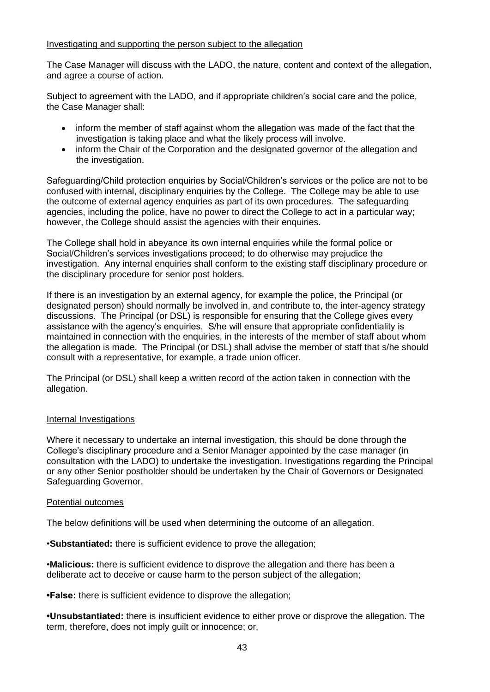### <span id="page-42-0"></span>Investigating and supporting the person subject to the allegation

The Case Manager will discuss with the LADO, the nature, content and context of the allegation, and agree a course of action.

Subject to agreement with the LADO, and if appropriate children's social care and the police, the Case Manager shall:

- inform the member of staff against whom the allegation was made of the fact that the investigation is taking place and what the likely process will involve.
- inform the Chair of the Corporation and the designated governor of the allegation and the investigation.

Safeguarding/Child protection enquiries by Social/Children's services or the police are not to be confused with internal, disciplinary enquiries by the College. The College may be able to use the outcome of external agency enquiries as part of its own procedures. The safeguarding agencies, including the police, have no power to direct the College to act in a particular way; however, the College should assist the agencies with their enquiries.

The College shall hold in abeyance its own internal enquiries while the formal police or Social/Children's services investigations proceed; to do otherwise may prejudice the investigation. Any internal enquiries shall conform to the existing staff disciplinary procedure or the disciplinary procedure for senior post holders.

If there is an investigation by an external agency, for example the police, the Principal (or designated person) should normally be involved in, and contribute to, the inter-agency strategy discussions. The Principal (or DSL) is responsible for ensuring that the College gives every assistance with the agency's enquiries. S/he will ensure that appropriate confidentiality is maintained in connection with the enquiries, in the interests of the member of staff about whom the allegation is made. The Principal (or DSL) shall advise the member of staff that s/he should consult with a representative, for example, a trade union officer.

The Principal (or DSL) shall keep a written record of the action taken in connection with the allegation.

## <span id="page-42-1"></span>Internal Investigations

Where it necessary to undertake an internal investigation, this should be done through the College's disciplinary procedure and a Senior Manager appointed by the case manager (in consultation with the LADO) to undertake the investigation. Investigations regarding the Principal or any other Senior postholder should be undertaken by the Chair of Governors or Designated Safeguarding Governor.

#### <span id="page-42-2"></span>Potential outcomes

The below definitions will be used when determining the outcome of an allegation.

•**Substantiated:** there is sufficient evidence to prove the allegation;

•**Malicious:** there is sufficient evidence to disprove the allegation and there has been a deliberate act to deceive or cause harm to the person subject of the allegation;

**•False:** there is sufficient evidence to disprove the allegation;

**•Unsubstantiated:** there is insufficient evidence to either prove or disprove the allegation. The term, therefore, does not imply guilt or innocence; or,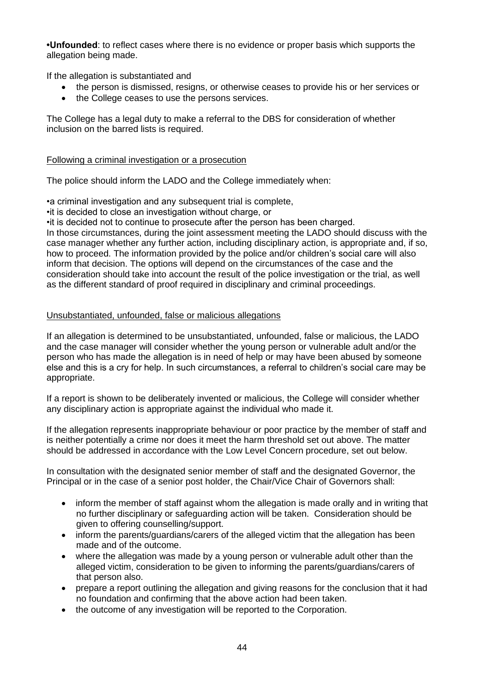**•Unfounded**: to reflect cases where there is no evidence or proper basis which supports the allegation being made.

If the allegation is substantiated and

- the person is dismissed, resigns, or otherwise ceases to provide his or her services or
- the College ceases to use the persons services.

The College has a legal duty to make a referral to the DBS for consideration of whether inclusion on the barred lists is required.

## <span id="page-43-0"></span>Following a criminal investigation or a prosecution

The police should inform the LADO and the College immediately when:

•a criminal investigation and any subsequent trial is complete,

•it is decided to close an investigation without charge, or

•it is decided not to continue to prosecute after the person has been charged.

In those circumstances, during the joint assessment meeting the LADO should discuss with the case manager whether any further action, including disciplinary action, is appropriate and, if so, how to proceed. The information provided by the police and/or children's social care will also inform that decision. The options will depend on the circumstances of the case and the consideration should take into account the result of the police investigation or the trial, as well as the different standard of proof required in disciplinary and criminal proceedings.

## <span id="page-43-1"></span>Unsubstantiated, unfounded, false or malicious allegations

If an allegation is determined to be unsubstantiated, unfounded, false or malicious, the LADO and the case manager will consider whether the young person or vulnerable adult and/or the person who has made the allegation is in need of help or may have been abused by someone else and this is a cry for help. In such circumstances, a referral to children's social care may be appropriate.

If a report is shown to be deliberately invented or malicious, the College will consider whether any disciplinary action is appropriate against the individual who made it.

If the allegation represents inappropriate behaviour or poor practice by the member of staff and is neither potentially a crime nor does it meet the harm threshold set out above. The matter should be addressed in accordance with the Low Level Concern procedure, set out below.

In consultation with the designated senior member of staff and the designated Governor, the Principal or in the case of a senior post holder, the Chair/Vice Chair of Governors shall:

- inform the member of staff against whom the allegation is made orally and in writing that no further disciplinary or safeguarding action will be taken. Consideration should be given to offering counselling/support.
- inform the parents/guardians/carers of the alleged victim that the allegation has been made and of the outcome.
- where the allegation was made by a young person or vulnerable adult other than the alleged victim, consideration to be given to informing the parents/guardians/carers of that person also.
- prepare a report outlining the allegation and giving reasons for the conclusion that it had no foundation and confirming that the above action had been taken.
- the outcome of any investigation will be reported to the Corporation.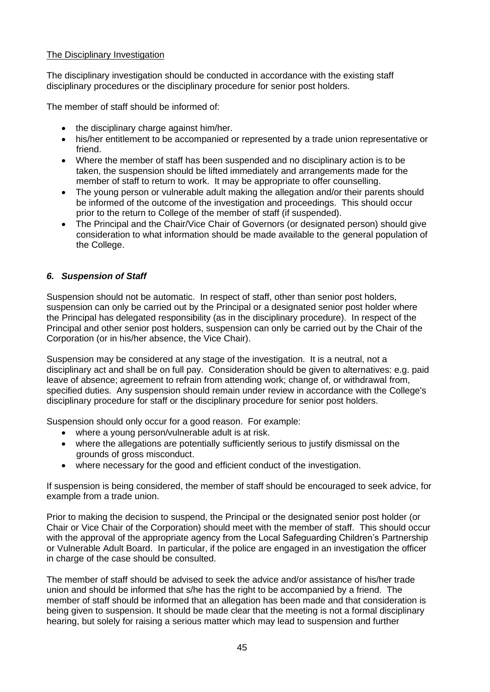## <span id="page-44-0"></span>The Disciplinary Investigation

The disciplinary investigation should be conducted in accordance with the existing staff disciplinary procedures or the disciplinary procedure for senior post holders.

The member of staff should be informed of:

- the disciplinary charge against him/her.
- his/her entitlement to be accompanied or represented by a trade union representative or friend.
- Where the member of staff has been suspended and no disciplinary action is to be taken, the suspension should be lifted immediately and arrangements made for the member of staff to return to work. It may be appropriate to offer counselling.
- The young person or vulnerable adult making the allegation and/or their parents should be informed of the outcome of the investigation and proceedings. This should occur prior to the return to College of the member of staff (if suspended).
- The Principal and the Chair/Vice Chair of Governors (or designated person) should give consideration to what information should be made available to the general population of the College.

## <span id="page-44-1"></span>*6. Suspension of Staff*

Suspension should not be automatic. In respect of staff, other than senior post holders, suspension can only be carried out by the Principal or a designated senior post holder where the Principal has delegated responsibility (as in the disciplinary procedure). In respect of the Principal and other senior post holders, suspension can only be carried out by the Chair of the Corporation (or in his/her absence, the Vice Chair).

Suspension may be considered at any stage of the investigation. It is a neutral, not a disciplinary act and shall be on full pay. Consideration should be given to alternatives: e.g. paid leave of absence; agreement to refrain from attending work; change of, or withdrawal from, specified duties. Any suspension should remain under review in accordance with the College's disciplinary procedure for staff or the disciplinary procedure for senior post holders.

Suspension should only occur for a good reason. For example:

- where a young person/vulnerable adult is at risk.
- where the allegations are potentially sufficiently serious to justify dismissal on the grounds of gross misconduct.
- where necessary for the good and efficient conduct of the investigation.

If suspension is being considered, the member of staff should be encouraged to seek advice, for example from a trade union.

Prior to making the decision to suspend, the Principal or the designated senior post holder (or Chair or Vice Chair of the Corporation) should meet with the member of staff. This should occur with the approval of the appropriate agency from the Local Safeguarding Children's Partnership or Vulnerable Adult Board. In particular, if the police are engaged in an investigation the officer in charge of the case should be consulted.

The member of staff should be advised to seek the advice and/or assistance of his/her trade union and should be informed that s/he has the right to be accompanied by a friend. The member of staff should be informed that an allegation has been made and that consideration is being given to suspension. It should be made clear that the meeting is not a formal disciplinary hearing, but solely for raising a serious matter which may lead to suspension and further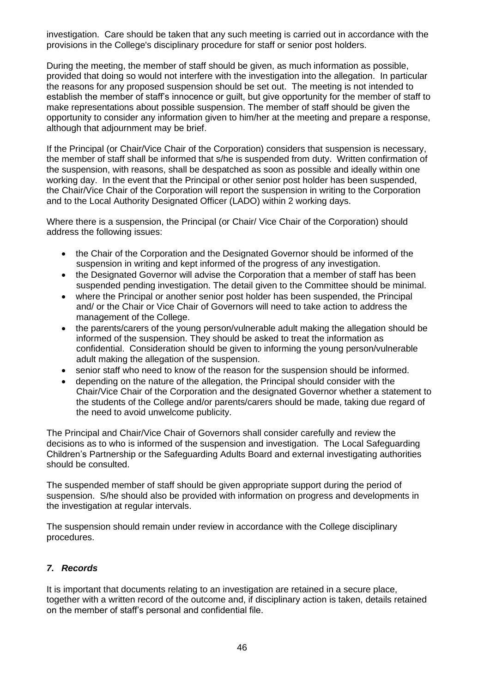investigation. Care should be taken that any such meeting is carried out in accordance with the provisions in the College's disciplinary procedure for staff or senior post holders.

During the meeting, the member of staff should be given, as much information as possible, provided that doing so would not interfere with the investigation into the allegation. In particular the reasons for any proposed suspension should be set out. The meeting is not intended to establish the member of staff's innocence or guilt, but give opportunity for the member of staff to make representations about possible suspension. The member of staff should be given the opportunity to consider any information given to him/her at the meeting and prepare a response, although that adjournment may be brief.

If the Principal (or Chair/Vice Chair of the Corporation) considers that suspension is necessary, the member of staff shall be informed that s/he is suspended from duty. Written confirmation of the suspension, with reasons, shall be despatched as soon as possible and ideally within one working day. In the event that the Principal or other senior post holder has been suspended, the Chair/Vice Chair of the Corporation will report the suspension in writing to the Corporation and to the Local Authority Designated Officer (LADO) within 2 working days.

Where there is a suspension, the Principal (or Chair/ Vice Chair of the Corporation) should address the following issues:

- the Chair of the Corporation and the Designated Governor should be informed of the suspension in writing and kept informed of the progress of any investigation.
- the Designated Governor will advise the Corporation that a member of staff has been suspended pending investigation. The detail given to the Committee should be minimal.
- where the Principal or another senior post holder has been suspended, the Principal and/ or the Chair or Vice Chair of Governors will need to take action to address the management of the College.
- the parents/carers of the young person/vulnerable adult making the allegation should be informed of the suspension. They should be asked to treat the information as confidential. Consideration should be given to informing the young person/vulnerable adult making the allegation of the suspension.
- senior staff who need to know of the reason for the suspension should be informed.
- depending on the nature of the allegation, the Principal should consider with the Chair/Vice Chair of the Corporation and the designated Governor whether a statement to the students of the College and/or parents/carers should be made, taking due regard of the need to avoid unwelcome publicity.

The Principal and Chair/Vice Chair of Governors shall consider carefully and review the decisions as to who is informed of the suspension and investigation. The Local Safeguarding Children's Partnership or the Safeguarding Adults Board and external investigating authorities should be consulted.

The suspended member of staff should be given appropriate support during the period of suspension. S/he should also be provided with information on progress and developments in the investigation at regular intervals.

The suspension should remain under review in accordance with the College disciplinary procedures.

## <span id="page-45-0"></span>*7. Records*

It is important that documents relating to an investigation are retained in a secure place, together with a written record of the outcome and, if disciplinary action is taken, details retained on the member of staff's personal and confidential file.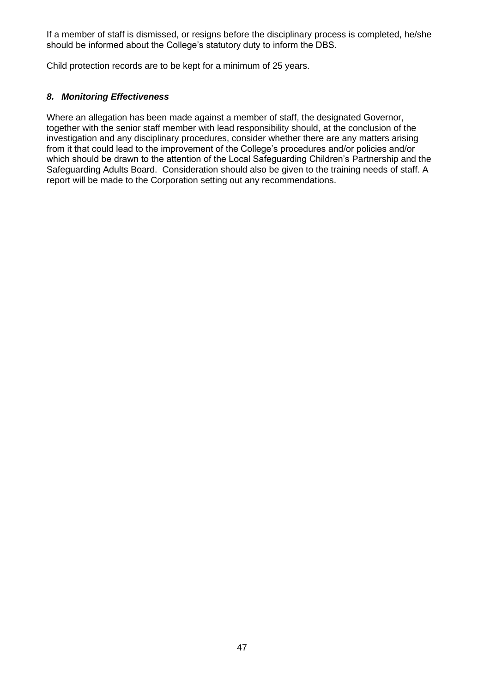If a member of staff is dismissed, or resigns before the disciplinary process is completed, he/she should be informed about the College's statutory duty to inform the DBS.

Child protection records are to be kept for a minimum of 25 years.

## <span id="page-46-0"></span>*8. Monitoring Effectiveness*

Where an allegation has been made against a member of staff, the designated Governor, together with the senior staff member with lead responsibility should, at the conclusion of the investigation and any disciplinary procedures, consider whether there are any matters arising from it that could lead to the improvement of the College's procedures and/or policies and/or which should be drawn to the attention of the Local Safeguarding Children's Partnership and the Safeguarding Adults Board. Consideration should also be given to the training needs of staff. A report will be made to the Corporation setting out any recommendations.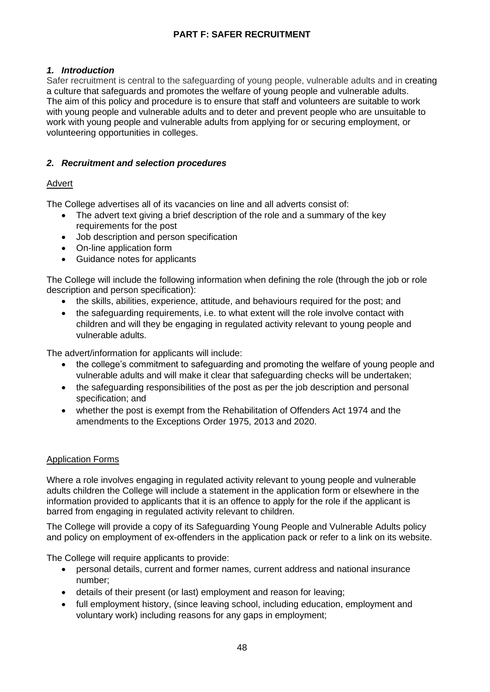## **PART F: SAFER RECRUITMENT**

## <span id="page-47-1"></span><span id="page-47-0"></span>*1. Introduction*

Safer recruitment is central to the safeguarding of young people, vulnerable adults and in creating a culture that safeguards and promotes the welfare of young people and vulnerable adults. The aim of this policy and procedure is to ensure that staff and volunteers are suitable to work with young people and vulnerable adults and to deter and prevent people who are unsuitable to work with young people and vulnerable adults from applying for or securing employment, or volunteering opportunities in colleges.

## <span id="page-47-2"></span>*2. Recruitment and selection procedures*

## <span id="page-47-3"></span>Advert

The College advertises all of its vacancies on line and all adverts consist of:

- The advert text giving a brief description of the role and a summary of the key requirements for the post
- Job description and person specification
- On-line application form
- Guidance notes for applicants

The College will include the following information when defining the role (through the job or role description and person specification):

- the skills, abilities, experience, attitude, and behaviours required for the post; and
- the safeguarding requirements, i.e. to what extent will the role involve contact with children and will they be engaging in regulated activity relevant to young people and vulnerable adults.

The advert/information for applicants will include:

- the college's commitment to safeguarding and promoting the welfare of young people and vulnerable adults and will make it clear that safeguarding checks will be undertaken;
- the safeguarding responsibilities of the post as per the job description and personal specification; and
- whether the post is exempt from the Rehabilitation of Offenders Act 1974 and the amendments to the Exceptions Order 1975, 2013 and 2020.

## <span id="page-47-4"></span>Application Forms

Where a role involves engaging in regulated activity relevant to young people and vulnerable adults children the College will include a statement in the application form or elsewhere in the information provided to applicants that it is an offence to apply for the role if the applicant is barred from engaging in regulated activity relevant to children.

The College will provide a copy of its Safeguarding Young People and Vulnerable Adults policy and policy on employment of ex-offenders in the application pack or refer to a link on its website.

The College will require applicants to provide:

- personal details, current and former names, current address and national insurance number;
- details of their present (or last) employment and reason for leaving;
- full employment history, (since leaving school, including education, employment and voluntary work) including reasons for any gaps in employment;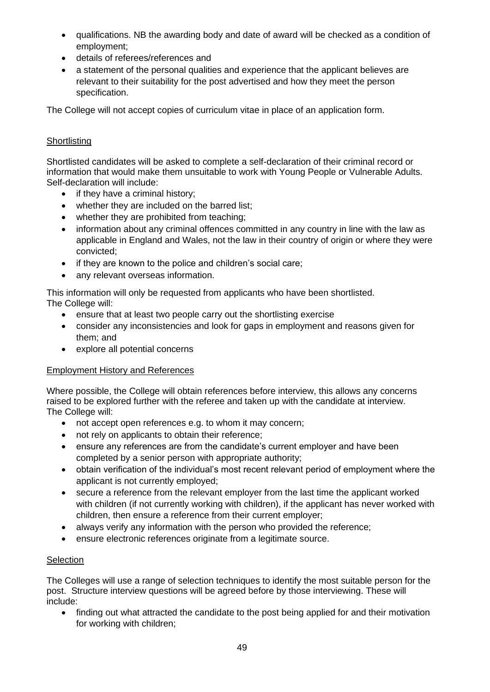- qualifications. NB the awarding body and date of award will be checked as a condition of employment;
- details of referees/references and
- a statement of the personal qualities and experience that the applicant believes are relevant to their suitability for the post advertised and how they meet the person specification.

The College will not accept copies of curriculum vitae in place of an application form.

## <span id="page-48-0"></span>**Shortlisting**

Shortlisted candidates will be asked to complete a self-declaration of their criminal record or information that would make them unsuitable to work with Young People or Vulnerable Adults. Self-declaration will include:

- if they have a criminal history;
- whether they are included on the barred list:
- whether they are prohibited from teaching;
- information about any criminal offences committed in any country in line with the law as applicable in England and Wales, not the law in their country of origin or where they were convicted;
- if they are known to the police and children's social care:
- any relevant overseas information.

This information will only be requested from applicants who have been shortlisted. The College will:

- ensure that at least two people carry out the shortlisting exercise
- consider any inconsistencies and look for gaps in employment and reasons given for them; and
- explore all potential concerns

## <span id="page-48-1"></span>Employment History and References

Where possible, the College will obtain references before interview, this allows any concerns raised to be explored further with the referee and taken up with the candidate at interview. The College will:

- not accept open references e.g. to whom it may concern;
- not rely on applicants to obtain their reference;
- ensure any references are from the candidate's current employer and have been completed by a senior person with appropriate authority;
- obtain verification of the individual's most recent relevant period of employment where the applicant is not currently employed;
- secure a reference from the relevant employer from the last time the applicant worked with children (if not currently working with children), if the applicant has never worked with children, then ensure a reference from their current employer;
- always verify any information with the person who provided the reference;
- ensure electronic references originate from a legitimate source.

## <span id="page-48-2"></span>**Selection**

The Colleges will use a range of selection techniques to identify the most suitable person for the post. Structure interview questions will be agreed before by those interviewing. These will include:

• finding out what attracted the candidate to the post being applied for and their motivation for working with children;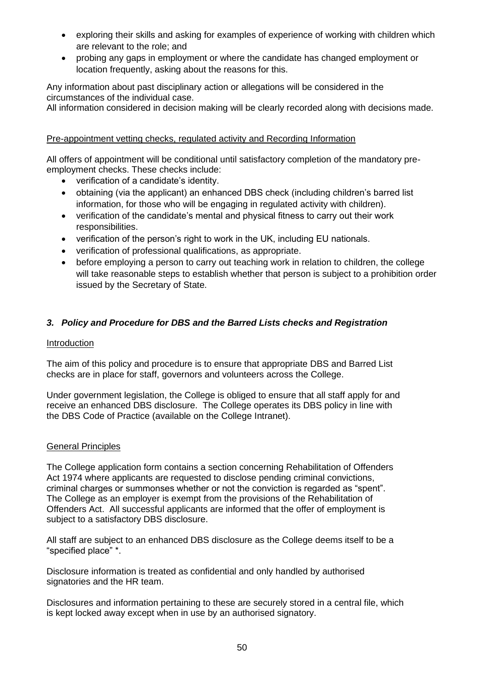- exploring their skills and asking for examples of experience of working with children which are relevant to the role; and
- probing any gaps in employment or where the candidate has changed employment or location frequently, asking about the reasons for this.

Any information about past disciplinary action or allegations will be considered in the circumstances of the individual case.

All information considered in decision making will be clearly recorded along with decisions made.

## <span id="page-49-0"></span>Pre-appointment vetting checks, regulated activity and Recording Information

All offers of appointment will be conditional until satisfactory completion of the mandatory preemployment checks. These checks include:

- verification of a candidate's identity.
- obtaining (via the applicant) an enhanced DBS check (including children's barred list information, for those who will be engaging in regulated activity with children).
- verification of the candidate's mental and physical fitness to carry out their work responsibilities.
- verification of the person's right to work in the UK, including EU nationals.
- verification of professional qualifications, as appropriate.
- before employing a person to carry out teaching work in relation to children, the college will take reasonable steps to establish whether that person is subject to a prohibition order issued by the Secretary of State.

## <span id="page-49-1"></span>*3. Policy and Procedure for DBS and the Barred Lists checks and Registration*

### <span id="page-49-2"></span>Introduction

The aim of this policy and procedure is to ensure that appropriate DBS and Barred List checks are in place for staff, governors and volunteers across the College.

Under government legislation, the College is obliged to ensure that all staff apply for and receive an enhanced DBS disclosure. The College operates its DBS policy in line with the DBS Code of Practice (available on the College Intranet).

## <span id="page-49-3"></span>General Principles

The College application form contains a section concerning Rehabilitation of Offenders Act 1974 where applicants are requested to disclose pending criminal convictions, criminal charges or summonses whether or not the conviction is regarded as "spent". The College as an employer is exempt from the provisions of the Rehabilitation of Offenders Act. All successful applicants are informed that the offer of employment is subject to a satisfactory DBS disclosure.

All staff are subject to an enhanced DBS disclosure as the College deems itself to be a "specified place" \*.

Disclosure information is treated as confidential and only handled by authorised signatories and the HR team.

Disclosures and information pertaining to these are securely stored in a central file, which is kept locked away except when in use by an authorised signatory.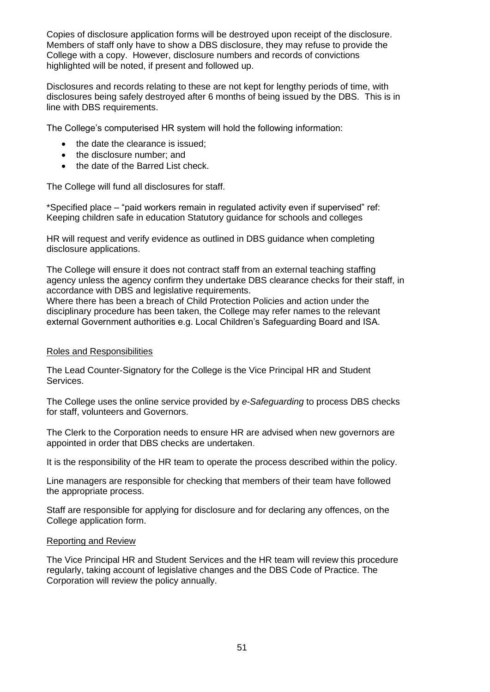Copies of disclosure application forms will be destroyed upon receipt of the disclosure. Members of staff only have to show a DBS disclosure, they may refuse to provide the College with a copy. However, disclosure numbers and records of convictions highlighted will be noted, if present and followed up.

Disclosures and records relating to these are not kept for lengthy periods of time, with disclosures being safely destroyed after 6 months of being issued by the DBS. This is in line with DBS requirements.

The College's computerised HR system will hold the following information:

- the date the clearance is issued;
- the disclosure number: and
- the date of the Barred List check.

The College will fund all disclosures for staff.

\*Specified place – "paid workers remain in regulated activity even if supervised" ref: Keeping children safe in education Statutory guidance for schools and colleges

HR will request and verify evidence as outlined in DBS guidance when completing disclosure applications.

The College will ensure it does not contract staff from an external teaching staffing agency unless the agency confirm they undertake DBS clearance checks for their staff, in accordance with DBS and legislative requirements.

Where there has been a breach of Child Protection Policies and action under the disciplinary procedure has been taken, the College may refer names to the relevant external Government authorities e.g. Local Children's Safeguarding Board and ISA.

## <span id="page-50-0"></span>Roles and Responsibilities

The Lead Counter-Signatory for the College is the Vice Principal HR and Student Services.

The College uses the online service provided by *e-Safeguarding* to process DBS checks for staff, volunteers and Governors.

The Clerk to the Corporation needs to ensure HR are advised when new governors are appointed in order that DBS checks are undertaken.

It is the responsibility of the HR team to operate the process described within the policy.

Line managers are responsible for checking that members of their team have followed the appropriate process.

Staff are responsible for applying for disclosure and for declaring any offences, on the College application form.

## <span id="page-50-1"></span>Reporting and Review

The Vice Principal HR and Student Services and the HR team will review this procedure regularly, taking account of legislative changes and the DBS Code of Practice. The Corporation will review the policy annually.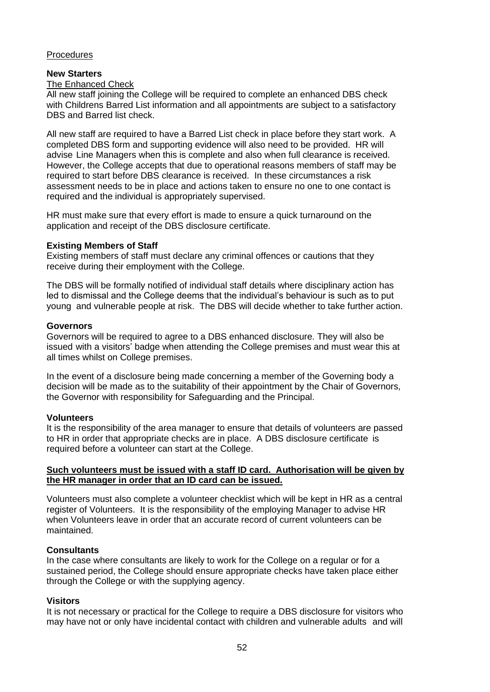## <span id="page-51-0"></span>**Procedures**

### **New Starters**

#### The Enhanced Check

All new staff joining the College will be required to complete an enhanced DBS check with Childrens Barred List information and all appointments are subject to a satisfactory DBS and Barred list check.

All new staff are required to have a Barred List check in place before they start work. A completed DBS form and supporting evidence will also need to be provided. HR will advise Line Managers when this is complete and also when full clearance is received. However, the College accepts that due to operational reasons members of staff may be required to start before DBS clearance is received. In these circumstances a risk assessment needs to be in place and actions taken to ensure no one to one contact is required and the individual is appropriately supervised.

HR must make sure that every effort is made to ensure a quick turnaround on the application and receipt of the DBS disclosure certificate.

#### **Existing Members of Staff**

Existing members of staff must declare any criminal offences or cautions that they receive during their employment with the College.

The DBS will be formally notified of individual staff details where disciplinary action has led to dismissal and the College deems that the individual's behaviour is such as to put young and vulnerable people at risk. The DBS will decide whether to take further action.

#### **Governors**

Governors will be required to agree to a DBS enhanced disclosure. They will also be issued with a visitors' badge when attending the College premises and must wear this at all times whilst on College premises.

In the event of a disclosure being made concerning a member of the Governing body a decision will be made as to the suitability of their appointment by the Chair of Governors, the Governor with responsibility for Safeguarding and the Principal.

#### **Volunteers**

It is the responsibility of the area manager to ensure that details of volunteers are passed to HR in order that appropriate checks are in place. A DBS disclosure certificate is required before a volunteer can start at the College.

#### **Such volunteers must be issued with a staff ID card. Authorisation will be given by the HR manager in order that an ID card can be issued.**

Volunteers must also complete a volunteer checklist which will be kept in HR as a central register of Volunteers. It is the responsibility of the employing Manager to advise HR when Volunteers leave in order that an accurate record of current volunteers can be maintained.

#### **Consultants**

In the case where consultants are likely to work for the College on a regular or for a sustained period, the College should ensure appropriate checks have taken place either through the College or with the supplying agency.

## **Visitors**

It is not necessary or practical for the College to require a DBS disclosure for visitors who may have not or only have incidental contact with children and vulnerable adults and will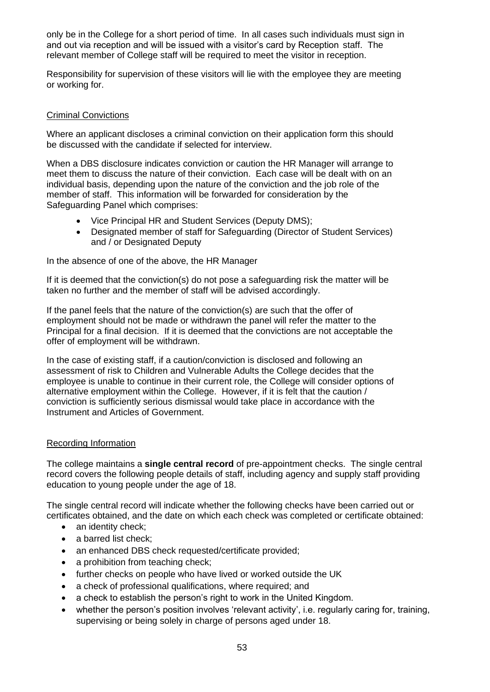only be in the College for a short period of time. In all cases such individuals must sign in and out via reception and will be issued with a visitor's card by Reception staff. The relevant member of College staff will be required to meet the visitor in reception.

Responsibility for supervision of these visitors will lie with the employee they are meeting or working for.

### <span id="page-52-0"></span>Criminal Convictions

Where an applicant discloses a criminal conviction on their application form this should be discussed with the candidate if selected for interview.

When a DBS disclosure indicates conviction or caution the HR Manager will arrange to meet them to discuss the nature of their conviction. Each case will be dealt with on an individual basis, depending upon the nature of the conviction and the job role of the member of staff. This information will be forwarded for consideration by the Safeguarding Panel which comprises:

- Vice Principal HR and Student Services (Deputy DMS);
- Designated member of staff for Safeguarding (Director of Student Services) and / or Designated Deputy

In the absence of one of the above, the HR Manager

If it is deemed that the conviction(s) do not pose a safeguarding risk the matter will be taken no further and the member of staff will be advised accordingly.

If the panel feels that the nature of the conviction(s) are such that the offer of employment should not be made or withdrawn the panel will refer the matter to the Principal for a final decision. If it is deemed that the convictions are not acceptable the offer of employment will be withdrawn.

In the case of existing staff, if a caution/conviction is disclosed and following an assessment of risk to Children and Vulnerable Adults the College decides that the employee is unable to continue in their current role, the College will consider options of alternative employment within the College. However, if it is felt that the caution / conviction is sufficiently serious dismissal would take place in accordance with the Instrument and Articles of Government.

## <span id="page-52-1"></span>Recording Information

The college maintains a **single central record** of pre-appointment checks. The single central record covers the following people details of staff, including agency and supply staff providing education to young people under the age of 18.

The single central record will indicate whether the following checks have been carried out or certificates obtained, and the date on which each check was completed or certificate obtained:

- an identity check:
- a barred list check;
- an enhanced DBS check requested/certificate provided;
- a prohibition from teaching check:
- further checks on people who have lived or worked outside the UK
- a check of professional qualifications, where required; and
- a check to establish the person's right to work in the United Kingdom.
- whether the person's position involves 'relevant activity', i.e. regularly caring for, training, supervising or being solely in charge of persons aged under 18.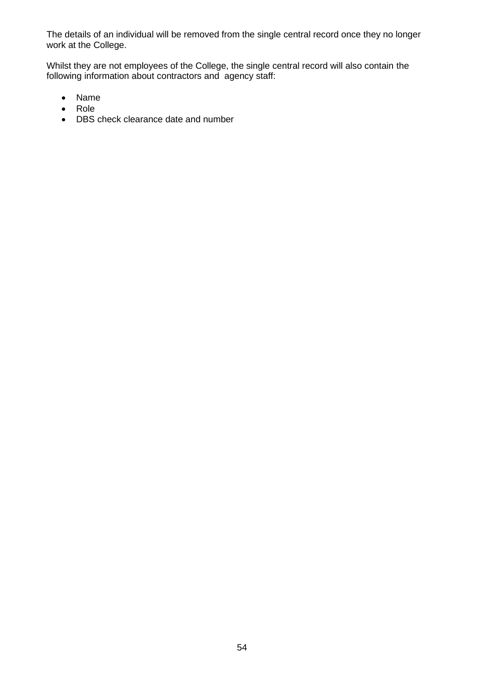The details of an individual will be removed from the single central record once they no longer work at the College.

Whilst they are not employees of the College, the single central record will also contain the following information about contractors and agency staff:

- Name
- Role
- DBS check clearance date and number